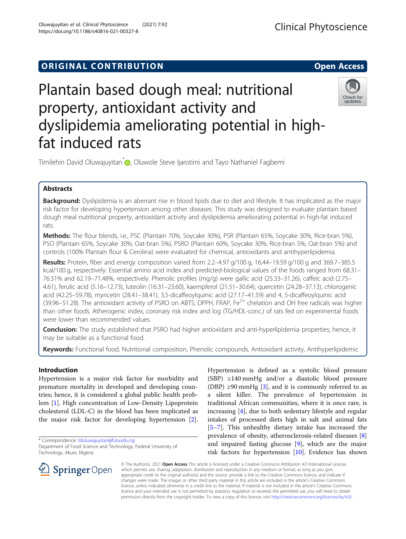# **ORIGINAL CONTRIBUTION CONTRIBUTION**

# Plantain based dough meal: nutritional property, antioxidant activity and dyslipidemia ameliorating potential in highfat induced rats

Timilehin David Oluwajuyitan<sup>\*</sup> <sub>(b</sub>, Oluwole Steve Ijarotimi and Tayo Nathaniel Fagbemi

# Abstracts

Background: Dyslipidemia is an aberrant rise in blood lipids due to diet and lifestyle. It has implicated as the major risk factor for developing hypertension among other diseases. This study was designed to evaluate plantain based dough meal nutritional property, antioxidant activity and dyslipidemia ameliorating potential in high-fat induced rats.

Methods: The flour blends, i.e., PSC (Plantain 70%, Soycake 30%), PSR (Plantain 65%, Soycake 30%, Rice-bran 5%), PSO (Plantain 65%, Soycake 30%, Oat-bran 5%), PSRO (Plantain 60%, Soycake 30%, Rice-bran 5%, Oat-bran 5%) and controls (100% Plantain flour & Cerolina) were evaluated for chemical, antioxidants and antihyperlipidemia.

Results: Protein, fiber and energy composition varied from 2.2-4.97 g/100 g, 16.44-19.59 g/100 g and 369.7-385.5 kcal/100 g, respectively. Essential amino acid index and predicted-biological values of the foods ranged from 68.31– 76.31% and 62.19–71.48%, respectively. Phenolic profiles (mg/g) were gallic acid (25.33–31.26), caffeic acid (2.75– 4.61), ferulic acid (5.16–12.73), luteolin (16.31–23.60), kaempferol (21.51–30.64), quercetin (24.28–37.13), chlorogenic acid (42.25–59.78), myricetin (28.41–38.41), 3,5-dicaffeoylquinic acid (27.17–41.59) and 4, 5-dicaffeoylquinic acid (39.96–51.28). The antioxidant activity of PSRO on ABTS, DPPH, FRAP, Fe<sup>2+</sup> chelation and OH free radicals was higher than other foods. Atherogenic index, coronary risk index and log (TG/HDL-conc.) of rats fed on experimental foods were lower than recommended values.

Conclusion: The study established that PSRO had higher antioxidant and anti-hyperlipidemia properties; hence, it may be suitable as a functional food.

Keywords: Functional food, Nutritional composition, Phenolic compounds, Antioxidant activity, Antihyperlipidemic

# Introduction

Hypertension is a major risk factor for morbidity and premature mortality in developed and developing countries; hence, it is considered a global public health problem [\[1](#page-12-0)]. High concentration of Low-Density Lipoprotein cholesterol (LDL-C) in the blood has been implicated as the major risk factor for developing hypertension [\[2](#page-12-0)].

\* Correspondence: [tdoluwajuyitan@futa.edu.ng](mailto:tdoluwajuyitan@futa.edu.ng)

 $\Omega$  Springer Open

Hypertension is defined as a systolic blood pressure  $(SBP) \geq 140$  mmHg and/or a diastolic blood pressure (DBP)  $\geq$ 90 mmHg [\[3](#page-12-0)], and it is commonly referred to as a silent killer. The prevalence of hypertension in traditional African communities, where it is once rare, is increasing [\[4](#page-12-0)], due to both sedentary lifestyle and regular intakes of processed diets high in salt and animal fats [[5](#page-12-0)–[7\]](#page-12-0). This unhealthy dietary intake has increased the prevalence of obesity, atherosclerosis-related diseases [\[8](#page-12-0)] and impaired fasting glucose [[9](#page-13-0)], which are the major risk factors for hypertension [\[10](#page-13-0)]. Evidence has shown

© The Author(s). 2021 Open Access This article is licensed under a Creative Commons Attribution 4.0 International License, which permits use, sharing, adaptation, distribution and reproduction in any medium or format, as long as you give appropriate credit to the original author(s) and the source, provide a link to the Creative Commons licence, and indicate if changes were made. The images or other third party material in this article are included in the article's Creative Commons licence, unless indicated otherwise in a credit line to the material. If material is not included in the article's Creative Commons licence and your intended use is not permitted by statutory regulation or exceeds the permitted use, you will need to obtain permission directly from the copyright holder. To view a copy of this licence, visit <http://creativecommons.org/licenses/by/4.0/>.







Department of Food Science and Technology, Federal University of Technology, Akure, Nigeria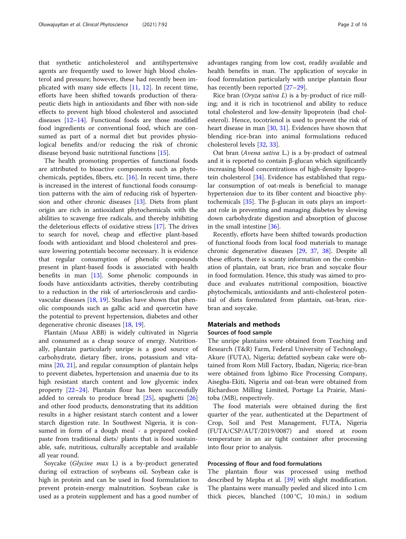that synthetic anticholesterol and antihypertensive agents are frequently used to lower high blood cholesterol and pressure; however, these had recently been implicated with many side effects  $[11, 12]$  $[11, 12]$  $[11, 12]$ . In recent time, efforts have been shifted towards production of therapeutic diets high in antioxidants and fiber with non-side effects to prevent high blood cholesterol and associated diseases [\[12](#page-13-0)–[14](#page-13-0)]. Functional foods are those modified food ingredients or conventional food, which are consumed as part of a normal diet but provides physiological benefits and/or reducing the risk of chronic disease beyond basic nutritional functions [\[15](#page-13-0)].

The health promoting properties of functional foods are attributed to bioactive components such as phytochemicals, peptides, fibers, etc. [\[16](#page-13-0)]. In recent time, there is increased in the interest of functional foods consumption patterns with the aim of reducing risk of hypertension and other chronic diseases [[13\]](#page-13-0). Diets from plant origin are rich in antioxidant phytochemicals with the abilities to scavenge free radicals, and thereby inhibiting the deleterious effects of oxidative stress [[17\]](#page-13-0). The drives to search for novel, cheap and effective plant-based foods with antioxidant and blood cholesterol and pressure lowering potentials become necessary. It is evidence that regular consumption of phenolic compounds present in plant-based foods is associated with health benefits in man [[13](#page-13-0)]. Some phenolic compounds in foods have antioxidants activities, thereby contributing to a reduction in the risk of arteriosclerosis and cardiovascular diseases [\[18,](#page-13-0) [19\]](#page-13-0). Studies have shown that phenolic compounds such as gallic acid and quercetin have the potential to prevent hypertension, diabetes and other degenerative chronic diseases [\[18,](#page-13-0) [19\]](#page-13-0).

Plantain (Musa ABB) is widely cultivated in Nigeria and consumed as a cheap source of energy. Nutritionally, plantain particularly unripe is a good source of carbohydrate, dietary fiber, irons, potassium and vitamins [[20,](#page-13-0) [21\]](#page-13-0), and regular consumption of plantain helps to prevent diabetes, hypertension and anaemia due to its high resistant starch content and low glycemic index property [[22](#page-13-0)–[24\]](#page-13-0). Plantain flour has been successfully added to cereals to produce bread [\[25\]](#page-13-0), spaghetti [[26](#page-13-0)] and other food products, demonstrating that its addition results in a higher resistant starch content and a lower starch digestion rate. In Southwest Nigeria, it is consumed in form of a dough meal - a prepared cooked paste from traditional diets/ plants that is food sustainable, safe, nutritious, culturally acceptable and available all year round.

Soycake (Glycine max L) is a by-product generated during oil extraction of soybeans oil. Soybean cake is high in protein and can be used in food formulation to prevent protein-energy malnutrition. Soybean cake is used as a protein supplement and has a good number of advantages ranging from low cost, readily available and health benefits in man. The application of soycake in food formulation particularly with unripe plantain flour has recently been reported [[27](#page-13-0)–[29](#page-13-0)].

Rice bran (Oryza sativa  $L$ ) is a by-product of rice milling; and it is rich in tocotrienol and ability to reduce total cholesterol and low-density lipoprotein (bad cholesterol). Hence, tocotrienol is used to prevent the risk of heart disease in man [\[30](#page-13-0), [31](#page-13-0)]. Evidences have shown that blending rice-bran into animal formulations reduced cholesterol levels [\[32](#page-13-0), [33](#page-13-0)].

Oat bran (Avena sativa L.) is a by-product of oatmeal and it is reported to contain β-glucan which significantly increasing blood concentrations of high-density lipoprotein cholesterol [[34](#page-13-0)]. Evidence has established that regular consumption of oat-meals is beneficial to manage hypertension due to its fiber content and bioactive phytochemicals  $[35]$  $[35]$ . The β-glucan in oats plays an important role in preventing and managing diabetes by slowing down carbohydrate digestion and absorption of glucose in the small intestine [[36\]](#page-13-0).

Recently, efforts have been shifted towards production of functional foods from local food materials to manage chronic degenerative diseases [\[29,](#page-13-0) [37](#page-13-0), [38\]](#page-13-0). Despite all these efforts, there is scanty information on the combination of plantain, oat bran, rice bran and soycake flour in food formulation. Hence, this study was aimed to produce and evaluates nutritional composition, bioactive phytochemicals, antioxidants and anti-cholesterol potential of diets formulated from plantain, oat-bran, ricebran and soycake.

## Materials and methods

## Sources of food sample

The unripe plantains were obtained from Teaching and Research (T&R) Farm, Federal University of Technology, Akure (FUTA), Nigeria; defatted soybean cake were obtained from Rom Mill Factory, Ibadan, Nigeria; rice-bran were obtained from Igbimo Rice Processing Company, Aisegba-Ekiti, Nigeria and oat-bran were obtained from Richardson Milling Limited, Portage La Prairie, Manitoba (MB), respectively.

The food materials were obtained during the first quarter of the year, authenticated at the Department of Crop, Soil and Pest Management, FUTA, Nigeria (FUTA/CSP/AUT/2019/0087) and stored at room temperature in an air tight container after processing into flour prior to analysis.

## Processing of flour and food formulations

The plantain flour was processed using method described by Mepba et al. [\[39](#page-13-0)] with slight modification. The plantains were manually peeled and sliced into 1 cm thick pieces, blanched (100 °C, 10 min.) in sodium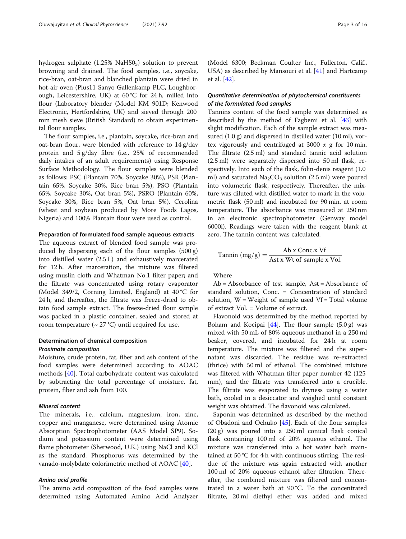hydrogen sulphate  $(1.25\% \text{ NaHS0}_3)$  solution to prevent browning and drained. The food samples, i.e., soycake, rice-bran, oat-bran and blanched plantain were dried in hot-air oven (Plus11 Sanyo Gallenkamp PLC, Loughborough, Leicestershire, UK) at 60 °C for 24 h, milled into flour (Laboratory blender (Model KM 901D; Kenwood Electronic, Hertfordshire, UK) and sieved through 200 mm mesh sieve (British Standard) to obtain experimental flour samples.

The flour samples, i.e., plantain, soycake, rice-bran and oat-bran flour, were blended with reference to 14 g/day protein and 5 g/day fibre (i.e., 25% of recommended daily intakes of an adult requirements) using Response Surface Methodology. The flour samples were blended as follows: PSC (Plantain 70%, Soycake 30%), PSR (Plantain 65%, Soycake 30%, Rice bran 5%), PSO (Plantain 65%, Soycake 30%, Oat bran 5%), PSRO (Plantain 60%, Soycake 30%, Rice bran 5%, Oat bran 5%). Cerolina (wheat and soybean produced by More Foods Lagos, Nigeria) and 100% Plantain flour were used as control.

#### Preparation of formulated food sample aqueous extracts

The aqueous extract of blended food sample was produced by dispersing each of the flour samples (500 g) into distilled water (2.5 L) and exhaustively marcerated for 12 h. After marceration, the mixture was filtered using muslin cloth and Whatman No.1 filter paper; and the filtrate was concentrated using rotary evaporator (Model 349/2, Corning Limited, England) at 40 °C for 24 h, and thereafter, the filtrate was freeze-dried to obtain food sample extract. The freeze-dried flour sample was packed in a plastic container, sealed and stored at room temperature ( $\sim$  27 °C) until required for use.

## Determination of chemical composition Proximate composition

Moisture, crude protein, fat, fiber and ash content of the food samples were determined according to AOAC methods [\[40\]](#page-13-0). Total carbohydrate content was calculated by subtracting the total percentage of moisture, fat, protein, fiber and ash from 100.

## Mineral content

The minerals, i.e., calcium, magnesium, iron, zinc, copper and manganese, were determined using Atomic Absorption Spectrophotometer (AAS Model SP9). Sodium and potassium content were determined using flame photometer (Sherwood, U.K.) using NaCl and KCl as the standard. Phosphorus was determined by the vanado-molybdate colorimetric method of AOAC [\[40\]](#page-13-0).

### Amino acid profile

The amino acid composition of the food samples were determined using Automated Amino Acid Analyzer

(Model 6300; Beckman Coulter Inc., Fullerton, Calif., USA) as described by Mansouri et al. [[41](#page-13-0)] and Hartcamp et al. [\[42](#page-13-0)].

## Quantitative determination of phytochemical constituents of the formulated food samples

Tannins content of the food sample was determined as described by the method of Fagbemi et al. [\[43](#page-13-0)] with slight modification. Each of the sample extract was measured (1.0 g) and dispersed in distilled water (10 ml), vortex vigorously and centrifuged at 3000  $x$  g for 10 min. The filtrate (2.5 ml) and standard tannic acid solution (2.5 ml) were separately dispersed into 50 ml flask, respectively. Into each of the flask, folin-denis reagent (1.0 ml) and saturated  $Na<sub>2</sub>CO<sub>3</sub>$  solution (2.5 ml) were poured into volumetric flask, respectively. Thereafter, the mixture was diluted with distilled water to mark in the volumetric flask (50 ml) and incubated for 90 min. at room temperature. The absorbance was measured at 250 nm in an electronic spectrophotometer (Genway model 6000i). Readings were taken with the reagent blank at zero. The tannin content was calculated.

Tannin 
$$
(mg/g) = \frac{Ab x \text{ Conc.x } Vf}{\text{Ast } x \text{ Wt of sample } x \text{ Vol.}}
$$

Where

Ab = Absorbance of test sample, Ast = Absorbance of standard solution, Conc. = Concentration of standard solution,  $W = Weight of sample used Vf = Total volume$ of extract Vol. = Volume of extract.

Flavonoid was determined by the method reported by Boham and Kocipai  $[44]$  $[44]$ . The flour sample  $(5.0 g)$  was mixed with 50 mL of 80% aqueous methanol in a 250 ml beaker, covered, and incubated for 24 h at room temperature. The mixture was filtered and the supernatant was discarded. The residue was re-extracted (thrice) with 50 ml of ethanol. The combined mixture was filtered with Whatman filter paper number 42 (125 mm), and the filtrate was transferred into a crucible. The filtrate was evaporated to dryness using a water bath, cooled in a desiccator and weighed until constant weight was obtained. The flavonoid was calculated.

Saponin was determined as described by the method of Obadoni and Ochuko [\[45](#page-13-0)]. Each of the flour samples (20 g) was poured into a 250 ml conical flask conical flask containing 100 ml of 20% aqueous ethanol. The mixture was transferred into a hot water bath maintained at 50 °C for 4 h with continuous stirring. The residue of the mixture was again extracted with another 100 ml of 20% aqueous ethanol after filtration. Thereafter, the combined mixture was filtered and concentrated in a water bath at 90 °C. To the concentrated filtrate, 20 ml diethyl ether was added and mixed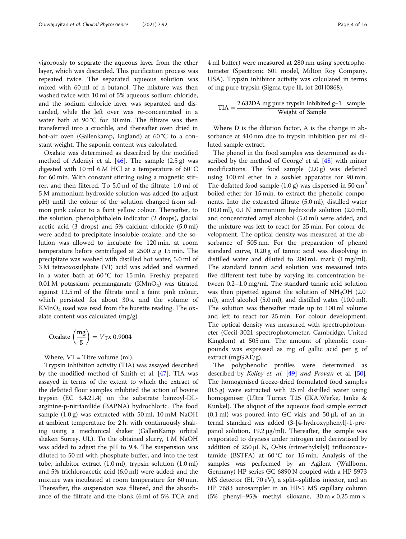vigorously to separate the aqueous layer from the ether layer, which was discarded. This purification process was repeated twice. The separated aqueous solution was mixed with 60 ml of n-butanol. The mixture was then washed twice with 10 ml of 5% aqueous sodium chloride, and the sodium chloride layer was separated and discarded, while the left over was re-concentrated in a water bath at 90 °C for 30 min. The filtrate was then transferred into a crucible, and thereafter oven dried in hot-air oven (Gallenkamp, England) at 60 °C to a constant weight. The saponin content was calculated.

Oxalate was determined as described by the modified method of Adeniyi et al.  $[46]$  $[46]$ . The sample  $(2.5 g)$  was digested with 10 ml 6 M HCl at a temperature of 60 °C for 60 min. With constant stirring using a magnetic stirrer, and then filtered. To 5.0 ml of the filtrate, 1.0 ml of 5 M ammonium hydroxide solution was added (to adjust pH) until the colour of the solution changed from salmon pink colour to a faint yellow colour. Thereafter, to the solution, phenolphthalein indicator (2 drops), glacial acetic acid (3 drops) and 5% calcium chloride (5.0 ml) were added to precipitate insoluble oxalate, and the solution was allowed to incubate for 120 min. at room temperature before centrifuged at 2500  $x$  g 15 min. The precipitate was washed with distilled hot water, 5.0 ml of 3 M tetraoxosulphate (VI) acid was added and warmed in a water bath at 60 °C for 15 min. Freshly prepared 0.01 M potassium permanganate  $(KMnO<sub>4</sub>)$  was titrated against 12.5 ml of the filtrate until a faint pink colour, which persisted for about 30 s. and the volume of  $KMnO<sub>4</sub>$  used was read from the burette reading. The oxalate content was calculated (mg/g).

Oxalate 
$$
\left(\frac{mg}{g}\right) = V_T x 0.9004
$$

Where, VT = Titre volume (ml).

Trypsin inhibition activity (TIA) was assayed described by the modified method of Smith et al. [[47](#page-13-0)]. TIA was assayed in terms of the extent to which the extract of the defatted flour samples inhibited the action of bovine trypsin (EC 3.4.21.4) on the substrate benzoyl-DLarginine-p-nitrianilide (BAPNA) hydrochloric. The food sample (1.0 g) was extracted with 50 ml, 10 mM NaOH at ambient temperature for 2 h. with continuously shaking using a mechanical shaker (GallenKamp orbital shaken Surrey, UL). To the obtained slurry, 1 M NaOH was added to adjust the pH to 9.4. The suspension was diluted to 50 ml with phosphate buffer, and into the test tube, inhibitor extract (1.0 ml), trypsin solution (1.0 ml) and 5% trichloroacetic acid (6.0 ml) were added; and the mixture was incubated at room temperature for 60 min. Thereafter, the suspension was filtered, and the absorbance of the filtrate and the blank (6 ml of 5% TCA and 4 ml buffer) were measured at 280 nm using spectrophotometer (Spectronic 601 model, Milton Roy Company, USA). Trypsin inhibitor activity was calculated in terms of mg pure trypsin (Sigma type lll, lot 20H0868).

$$
TIA = \frac{2.632DA \text{ mg pure trypsin inhibited g-1 sample}}{\text{Weight of Sample}}
$$

Where D is the dilution factor, A is the change in absorbance at 410 nm due to trypsin inhibition per ml diluted sample extract.

The phenol in the food samples was determined as described by the method of George' et al. [[48](#page-13-0)] with minor modifications. The food sample (2.0 g) was defatted using 100 ml ether in a soxhlet apparatus for 90 min. The defatted food sample  $(1.0 g)$  was dispersed in 50 cm<sup>3</sup> boiled ether for 15 min. to extract the phenolic components. Into the extracted filtrate (5.0 ml), distilled water (10.0 ml), 0.1 N ammonium hydroxide solution (2.0 ml), and concentrated amyl alcohol (5.0 ml) were added, and the mixture was left to react for 25 min. For colour development. The optical density was measured at the absorbance of 505 nm. For the preparation of phenol standard curve, 0.20 g of tannic acid was dissolving in distilled water and diluted to 200 mL mark (1 mg/ml). The standard tannin acid solution was measured into five different test tube by varying its concentration between 0.2–1.0 mg/ml. The standard tannic acid solution was then pipetted against the solution of  $NH<sub>3</sub>OH$  (2.0) ml), amyl alcohol (5.0 ml), and distilled water (10.0 ml). The solution was thereafter made up to 100 ml volume and left to react for 25 min. For colour development. The optical density was measured with spectrophotometer (Cecil 3021 spectrophotometer, Cambridge, United Kingdom) at 505 nm. The amount of phenolic compounds was expressed as mg of gallic acid per g of extract (mgGAE/g).

The polyphenolic profiles were determined as described by Kelley et. al. [\[49\]](#page-14-0) and Provan et al. [\[50](#page-14-0)]. The homogenised freeze-dried formulated food samples (0.5 g) were extracted with 25 ml distilled water using homogeniser (Ultra Turrax T25 (IKA.Werke, Janke & Kunkel). The aliquot of the aqueous food sample extract  $(0.1 \text{ ml})$  was poured into GC vials and  $50 \mu$ L of an internal standard was added (3-[4-hydroxyphenyl]-1-propanol solution, 19.2 μg/ml). Thereafter, the sample was evaporated to dryness under nitrogen and derivatised by addition of 250 μL N, O-bis (trimethylsilyl) trifluoroacetamide (BSTFA) at  $60^{\circ}$ C for 15 min. Analysis of the samples was performed by an Agilent (Wallborn, Germany) HP series GC 6890 N coupled with a HP 5973 MS detector (EI, 70 eV), a split–splitless injector, and an HP 7683 autosampler in an HP-5 MS capillary column (5% phenyl–95% methyl siloxane,  $30 \text{ m} \times 0.25 \text{ mm} \times$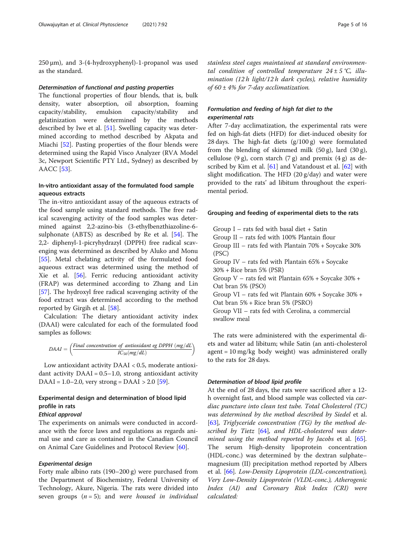250 μm), and 3-(4-hydroxyphenyl)-1-propanol was used as the standard.

#### Determination of functional and pasting properties

The functional properties of flour blends, that is, bulk density, water absorption, oil absorption, foaming capacity/stability, emulsion capacity/stability and gelatinization were determined by the methods described by Iwe et al. [[51\]](#page-14-0). Swelling capacity was determined according to method described by Akpata and Miachi [[52\]](#page-14-0). Pasting properties of the flour blends were determined using the Rapid Visco Analyzer (RVA Model 3c, Newport Scientific PTY Ltd., Sydney) as described by AACC [\[53\]](#page-14-0).

## In-vitro antioxidant assay of the formulated food sample aqueous extracts

The in-vitro antioxidant assay of the aqueous extracts of the food sample using standard methods. The free radical scavenging activity of the food samples was determined against 2,2-azino-bis (3-ethylbenzthiazoline-6 sulphonate (ABTS) as described by Re et al. [[54](#page-14-0)]. The 2,2- diphenyl-1-picryhydrazyl (DPPH) free radical scavenging was determined as described by Aluko and Monu [[55\]](#page-14-0). Metal chelating activity of the formulated food aqueous extract was determined using the method of Xie et al. [[56\]](#page-14-0). Ferric reducing antioxidant activity (FRAP) was determined according to Zhang and Lin [[57\]](#page-14-0). The hydroxyl free radical scavenging activity of the food extract was determined according to the method reported by Girgih et al. [[58](#page-14-0)].

Calculation: The dietary antioxidant activity index (DAAI) were calculated for each of the formulated food samples as follows:

$$
DAAI = \left(\frac{Final\ concentration\ of\ antioxidant\ eg\ DPPH\ (mg/dL)}{IC_{50}(mg/dL)}\right)
$$

Low antioxidant activity DAAI < 0.5, moderate antioxidant activity  $DAAI = 0.5-1.0$ , strong antioxidant activity DAAI =  $1.0 - 2.0$ , very strong = DAAI >  $2.0$  [[59](#page-14-0)].

# Experimental design and determination of blood lipid profile in rats

## Ethical approval

The experiments on animals were conducted in accordance with the force laws and regulations as regards animal use and care as contained in the Canadian Council on Animal Care Guidelines and Protocol Review [\[60\]](#page-14-0).

## Experimental design

Forty male albino rats (190–200 g) were purchased from the Department of Biochemistry, Federal University of Technology, Akure, Nigeria. The rats were divided into seven groups  $(n = 5)$ ; and were housed in individual

stainless steel cages maintained at standard environmental condition of controlled temperature  $24 \pm 5$  °C, illumination (12 h light/12 h dark cycles), relative humidity of  $60 \pm 4\%$  for 7-day acclimatization.

## Formulation and feeding of high fat diet to the experimental rats

After 7-day acclimatization, the experimental rats were fed on high-fat diets (HFD) for diet-induced obesity for 28 days. The high-fat diets  $(g/100 g)$  were formulated from the blending of skimmed milk  $(50 \text{ g})$ , lard  $(30 \text{ g})$ , cellulose (9 g), corn starch (7 g) and premix (4 g) as de-scribed by Kim et al. [\[61](#page-14-0)] and Vatandoust et al. [[62\]](#page-14-0) with slight modification. The HFD (20 g/day) and water were provided to the rats' ad libitum throughout the experimental period.

#### Grouping and feeding of experimental diets to the rats

Group  $I$  – rats fed with basal diet + Satin Group II – rats fed with 100% Plantain flour Group III – rats fed with Plantain 70% + Soycake 30% (PSC) Group IV – rats fed with Plantain 65% + Soycake 30% + Rice bran 5% (PSR) Group V – rats fed wit Plantain 65% + Soycake 30% + Oat bran 5% (PSO) Group VI – rats fed wit Plantain 60% + Soycake 30% + Oat bran 5% + Rice bran 5% (PSRO) Group VII – rats fed with Cerolina, a commercial swallow meal

The rats were administered with the experimental diets and water ad libitum; while Satin (an anti-cholesterol agent = 10 mg/kg body weight) was administered orally to the rats for 28 days.

#### Determination of blood lipid profile

At the end of 28 days, the rats were sacrificed after a 12 h overnight fast, and blood sample was collected via cardiac puncture into clean test tube. Total Cholesterol (TC) was determined by the method described by Siedel et al. [[63\]](#page-14-0), Triglyceride concentration (TG) by the method de-scribed by Tietz [[64\]](#page-14-0), and HDL-cholesterol was deter-mined using the method reported by Jacobs et al. [\[65](#page-14-0)]. The serum High-density lipoprotein concentration (HDL-conc.) was determined by the dextran sulphate– magnesium (II) precipitation method reported by Albers et al. [[66\]](#page-14-0). Low-Density Lipoprotein (LDL-concentration), Very Low-Density Lipoprotein (VLDL-conc.), Atherogenic Index (AI) and Coronary Risk Index (CRI) were calculated: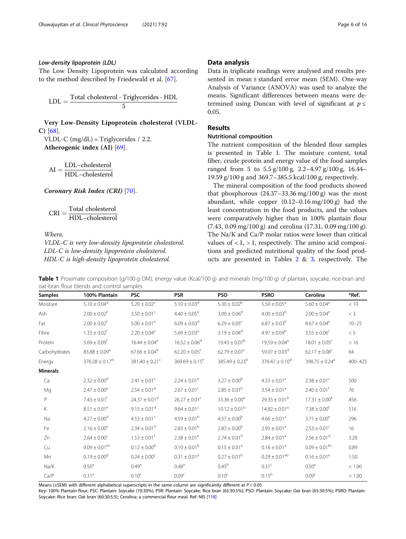### Low-density lipoprotein (LDL)

The Low Density Lipoprotein was calculated according to the method described by Friedewald et al. [\[67](#page-14-0)].

$$
LDL = \frac{Total \ cholesterol - Triglycerides - HDL}{5}
$$

Very Low-Density Lipoprotein cholesterol (VLDL-C) [\[68\]](#page-14-0).

VLDL-C (mg/dL) = Triglycerides / 2.2. Atherogenic index (AI) [\[69\]](#page-14-0).

 $AI = \frac{LDL - cholesterol}{HDL - cholesterol}$ 

Coronary Risk Index (CRI) [[70](#page-14-0)].

 $\text{CRI} = \frac{\text{Total cholesterol}}{\text{HDL–cholesterol}}$ 

Where,

VLDL-C is very low-density lipoprotein cholesterol. LDL-C is low-density lipoprotein cholesterol. HDL-C is high-density lipoprotein cholesterol.

#### Data analysis

Data in triplicate readings were analysed and results presented in mean ± standard error mean (SEM). One-way Analysis of Variance (ANOVA) was used to analyze the means. Significant differences between means were determined using Duncan with level of significant at  $p \leq$ 0.05.

## Results

## Nutritional composition

The nutrient composition of the blended flour samples is presented in Table 1. The moisture content, total fiber, crude protein and energy value of the food samples ranged from 5 to 5.5 g/100 g, 2.2–4.97 g/100 g, 16.44– 19.59 g/100 g and 369.7–385.5 kcal/100 g, respectively.

The mineral composition of the food products showed that phosphorous  $(24.37-33.36 \text{ mg}/100 \text{ g})$  was the most abundant, while copper (0.12–0.16 mg/100 g) had the least concentration in the food products, and the values were comparatively higher than in 100% plantain flour (7.43, 0.09 mg/100 g) and cerolina (17.31, 0.09 mg/100 g). The Na/K and Ca/P molar ratios were lower than critical values of  $< 1$ ,  $> 1$ , respectively. The amino acid compositions and predicted nutritional quality of the food products are presented in Tables [2](#page-6-0) & [3,](#page-6-0) respectively. The

Table 1 Proximate composition (g/100 g DM), energy value (Kcal/100 g) and minerals (mg/100 g) of plantain, soycake, rice-bran and oat-bran flour blends and control samples

Samples 100% Plantain PSC PSR PSO PSRO Cerolina \*Ref. Moisture  $5.10 \pm 0.04^d$   $5.20 \pm 0.02^c$   $5.10 \pm 0.03^d$   $5.30 \pm 0.02^b$   $5.50 \pm 0.05^a$   $5.60 \pm 0.04^a$   $< 10$ Ash  $2.00 \pm 0.02^e$   $3.50 \pm 0.01^c$   $4.40 \pm 0.05^a$   $3.00 \pm 0.06^d$   $4.00 \pm 0.03^b$   $2.00 \pm 0.04^e$   $< 3$ Fat  $2.00 \pm 0.02^{\text{f}}$   $5.00 \pm 0.01^{\text{e}}$   $6.09 \pm 0.03^{\text{d}}$   $6.29 \pm 0.05^{\text{c}}$   $6.87 \pm 0.03^{\text{b}}$   $8.67 \pm 0.04^{\text{a}}$   $10-25$ Fibre 1.33  $\pm$  0.02<sup>f</sup> 2.20  $\pm$  0.04<sup>e</sup> 5.69  $\pm$  0.03<sup>a</sup> 3.19  $\pm$  0.04<sup>d</sup> 4.97  $\pm$  0.09<sup>b</sup> 3.55  $\pm$  0.06<sup>c</sup> < 5 Protein  $5.69 \pm 0.09^{\circ}$   $16.44 \pm 0.04^{\circ}$   $16.52 \pm 0.06^{\circ}$   $19.43 \pm 0.07^{\circ}$   $19.59 \pm 0.04^{\circ}$   $18.01 \pm 0.05^{\circ}$   $> 16.01 \pm 0.01^{\circ}$ Carbohydrates  $83.88 \pm 0.09^a$  67.66  $\pm 0.04^b$  62.20  $\pm 0.05^c$  62.79  $\pm 0.07^c$  59.07  $\pm 0.03^d$  62.17  $\pm 0.08^c$  64 Energy 376.28  $\pm$  0.17<sup>d</sup> 381.40  $\pm$  0.21<sup>c</sup> 369.69  $\pm$  0.15<sup>e</sup> 385.49  $\pm$  0.23<sup>b</sup> 376.47  $\pm$  0.10<sup>d</sup> 398.75  $\pm$  0.24<sup>a</sup> 400–425 Minerals Ca  $2.32 \pm 0.00^{\circ}$   $2.41 \pm 0.01^{\circ}$   $2.24 \pm 0.01^{\circ}$   $3.27 \pm 0.00^{\circ}$   $4.33 \pm 0.01^{\circ}$   $2.38 \pm 0.01^{\circ}$   $500$ Mg  $2.47 \pm 0.00^e$   $2.54 \pm 0.01^d$   $2.67 \pm 0.01^c$   $2.85 \pm 0.01^b$   $3.54 \pm 0.01^a$   $2.40 \pm 0.01^f$  76 P  $7.43 \pm 0.01^6$   $24.37 \pm 0.01^d$   $26.27 \pm 0.01^c$   $33.36 \pm 0.00^a$   $29.35 \pm 0.01^b$   $17.31 \pm 0.00^e$   $456$ K  $8.51 \pm 0.01^e$   $9.15 \pm 0.01^d$   $9.64 \pm 0.01^c$   $10.12 \pm 0.01^b$   $14.82 \pm 0.01^a$   $7.38 \pm 0.00^f$  516 Na  $4.27 \pm 0.00^d$   $4.53 \pm 0.01^c$   $4.59 \pm 0.01^b$   $4.57 \pm 0.00^b$   $4.66 \pm 0.01^a$   $3.71 \pm 0.00^e$   $296$ Fe  $2.16 \pm 0.00^e$   $2.34 \pm 0.01^d$   $2.83 \pm 0.01^b$   $2.83 \pm 0.00^b$   $2.95 \pm 0.01^a$   $2.53 \pm 0.01^c$  16  $Zn$  2.64  $\pm$  0.00<sup>c</sup> 1.53  $\pm$  0.01<sup>f</sup> 2.38  $\pm$  0.01<sup>e</sup> 2.74  $\pm$  0.01<sup>b</sup> 2.84  $\pm$  0.01<sup>a</sup> 2.56  $\pm$  0.01<sup>d</sup> 3.20 Cu  $0.09 \pm 0.01^{bc}$   $0.12 \pm 0.00^{b}$   $0.10 \pm 0.01^{b}$   $0.15 \pm 0.01^{a}$   $0.16 \pm 0.01^{a}$   $0.09 \pm 0.01^{bc}$  0.89 Mn  $0.19 \pm 0.00^d$   $0.24 \pm 0.00^c$   $0.31 \pm 0.01^a$   $0.27 \pm 0.01^b$   $0.29 \pm 0.01^{ab}$   $0.16 \pm 0.01^e$   $1.50$ Na/K  $0.50^a$   $0.49^a$   $0.48^a$   $0.45^b$   $0.31^c$   $0.50^a$   $0.1.00$  $Ca/P$  0.31<sup>a</sup> 0.10<sup>c</sup> 0.09<sup>c</sup> 0.10<sup>c</sup> 0.10<sup>c</sup> 0.15<sup>b</sup> 0.09<sup>c</sup> > 1.00

Means ( $\pm$ SEM) with different alphabetical superscripts in the same column are significantly different at  $P < 0.05$ 

Key: 100% Plantain flour; PSC: Plantain: Soycake (70:30%); PSR: Plantain: Soycake: Rice bran (65:30:5%); PSO: Plantain: Soycake: Oat bran (65:30:5%); PSRO: Plantain: Soycake: Rice bran: Oat bran (60:30:5:5); Cerolina: a commercial flour meal. Ref: NIS [\[118\]](#page-15-0)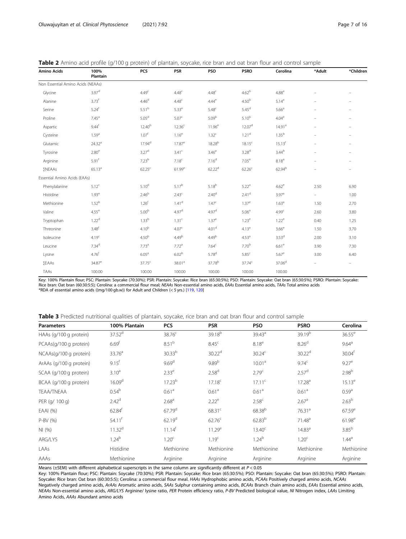<span id="page-6-0"></span>

|  |  |  |  | Table 2 Amino acid profile (g/100 g protein) of plantain, soycake, rice bran and oat bran flour and control sample |  |  |  |  |  |
|--|--|--|--|--------------------------------------------------------------------------------------------------------------------|--|--|--|--|--|
|  |  |  |  |                                                                                                                    |  |  |  |  |  |

| <b>Amino Acids</b>                | 100%<br>Plantain    | PCS                | <b>PSR</b>         | PSO                | <b>PSRO</b>        | Cerolina            | *Adult                   | *Children                |
|-----------------------------------|---------------------|--------------------|--------------------|--------------------|--------------------|---------------------|--------------------------|--------------------------|
| Non Essential Amino Acids (NEAAs) |                     |                    |                    |                    |                    |                     |                          |                          |
| Glycine                           | 3.97 <sup>d</sup>   | 4.49 <sup>c</sup>  | 4.48 <sup>c</sup>  | 4.48 <sup>c</sup>  | 4.62 <sup>b</sup>  | 4.88 <sup>a</sup>   |                          |                          |
| Alanine                           | 3.73 <sup>f</sup>   | 4.46 <sup>d</sup>  | 4.48 <sup>c</sup>  | $4.44^e$           | 4.50 <sup>b</sup>  | $5.14^{a}$          |                          |                          |
| Serine                            | $5.24$ <sup>f</sup> | 5.51 <sup>b</sup>  | 5.33 <sup>e</sup>  | 5.48 <sup>c</sup>  | 5.45 <sup>d</sup>  | 5.66 <sup>a</sup>   |                          |                          |
| Proline                           | 7.45 <sup>a</sup>   | 5.05 <sup>d</sup>  | 5.07 <sup>c</sup>  | 5.09 <sup>b</sup>  | $5.10^{b}$         | 4.04 <sup>e</sup>   |                          |                          |
| Aspartic                          | 9.44 <sup>f</sup>   | $12.40^{b}$        | 12.36 <sup>c</sup> | $11.96^e$          | 12.07 <sup>d</sup> | 14.91 <sup>a</sup>  |                          |                          |
| Cysteine                          | $1.59^{a}$          | 1.07 <sup>f</sup>  | 1.16 <sup>e</sup>  | 1.32 <sup>c</sup>  | $1.21^{\rm d}$     | 1.35 <sup>b</sup>   | $\overline{\phantom{0}}$ |                          |
| Glutamic                          | 24.32 <sup>a</sup>  | $17.94^d$          | $17.87^e$          | 18.28 <sup>b</sup> | $18.15^{c}$        | $15.13^{f}$         | $\equiv$                 |                          |
| Tyrosine                          | $2.80^{\mathrm{e}}$ | 3.27 <sup>d</sup>  | 3.41 <sup>c</sup>  | 3.46 <sup>a</sup>  | 3.28 <sup>d</sup>  | $3.44^{b}$          | $\overline{\phantom{0}}$ | $\overline{\phantom{0}}$ |
| Arginine                          | 5.91 <sup>f</sup>   | 7.23 <sup>b</sup>  | 7.18 <sup>c</sup>  | 7.16 <sup>d</sup>  | 7.05 <sup>e</sup>  | $8.18^{a}$          |                          | $\overline{\phantom{m}}$ |
| ΣΝΕΑΑς                            | $65.13^{a}$         | 62.25 <sup>c</sup> | $61.99^e$          | $62.22^{d}$        | 62.26 <sup>c</sup> | 62.94 <sup>b</sup>  |                          |                          |
| Essential Amino Acids (EAAs)      |                     |                    |                    |                    |                    |                     |                          |                          |
| Phenylalanine                     | $5.12^c$            | 5.10 <sup>d</sup>  | $5.17^{b}$         | $5.18^{b}$         | 5.22 <sup>a</sup>  | $4.62^e$            | 2.50                     | 6.90                     |
| Histidine                         | 1.93 <sup>e</sup>   | 2.46 <sup>b</sup>  | 2.43 <sup>c</sup>  | 2.40 <sup>d</sup>  | 2.41 <sup>d</sup>  | 3.97 <sup>a</sup>   | $\frac{1}{2}$            | 1.00                     |
| Methionine                        | 1.52 <sup>b</sup>   | 1.26 <sup>f</sup>  | 1.41 <sup>d</sup>  | 1.47 <sup>c</sup>  | $1.37^{\rm e}$     | 1.63 <sup>a</sup>   | 1.50                     | 2.70                     |
| Valine                            | $4.55^{\rm e}$      | 5.00 <sup>b</sup>  | 4.97 <sup>d</sup>  | 4.97 <sup>d</sup>  | 5.06 <sup>a</sup>  | 4.99 <sup>c</sup>   | 2.60                     | 3.80                     |
| Tryptophan                        | 1.22 <sup>d</sup>   | 1.33 <sup>b</sup>  | 1.31 <sup>c</sup>  | 1.37 <sup>a</sup>  | 1.23 <sup>e</sup>  | $1.22^e$            | 0.40                     | 1.25                     |
| Threonine                         | 3.48 <sup>f</sup>   | 4.10 <sup>b</sup>  | 4.07 <sup>c</sup>  | 4.01 <sup>d</sup>  | 4.13 <sup>a</sup>  | 3.66 <sup>e</sup>   | 1.50                     | 3.70                     |
| Isoleucine                        | 4.19 <sup>c</sup>   | 4.50 <sup>b</sup>  | 4.49 <sup>b</sup>  | 4.49 <sup>b</sup>  | 4.53 <sup>a</sup>  | 3.53 <sup>d</sup>   | 2.00                     | 3.10                     |
| Leucine                           | $7.34^{\rm d}$      | 7.73 <sup>a</sup>  | 7.72 <sup>a</sup>  | 7.64 <sup>c</sup>  | 7.70 <sup>b</sup>  | $6.61$ <sup>e</sup> | 3.90                     | 7.30                     |
| Lysine                            | 4.76 <sup>f</sup>   | 6.05 <sup>a</sup>  | 6.02 <sup>b</sup>  | 5.78 <sup>d</sup>  | 5.85 <sup>c</sup>  | $5.67$ <sup>e</sup> | 3.00                     | 6.40                     |
| ΣEAAs                             | 34.87 <sup>e</sup>  | 37.75 <sup>c</sup> | 38.01 <sup>a</sup> | 37.78 <sup>b</sup> | $37.74^{c}$        | $37.06^{\rm d}$     |                          |                          |
| TAAs                              | 100.00              | 100.00             | 100.00             | 100.00             | 100.00             | 100.00              |                          |                          |

Key: 100% Plantain flour; PSC: Plantain: Soycake (70:30%); PSR: Plantain: Soycake: Rice bran (65:30:5%); PSO: Plantain: Soycake: Oat bran (65:30:5%); PSRO: Plantain: Soycake: Rice bran: Oat bran (60:30:5:5); Cerolina: a commercial flour meal; NEAAs Non-essential amino acids, EAAs Essential amino acids, TAAs Total amino acids \*RDA of essential amino acids ((mg/100 gb.w)) for Adult and Children (< 5 yrs.) [[119](#page-15-0), [120\]](#page-15-0)

|--|

| <b>Parameters</b>       | 100% Plantain       | <b>PCS</b>           | <b>PSR</b>         | <b>PSO</b>         | <b>PSRO</b>        | Cerolina           |
|-------------------------|---------------------|----------------------|--------------------|--------------------|--------------------|--------------------|
| HAAs (g/100 g protein)  | 37.52 <sup>d</sup>  | 38.76 <sup>c</sup>   | 39.18 <sup>b</sup> | 39.43 <sup>a</sup> | 39.19 <sup>b</sup> | $36.55^e$          |
| PCAAs(g/100 g protein)  | 6.69 <sup>f</sup>   | 8.51 <sup>b</sup>    | 8.45 <sup>c</sup>  | 8.18 <sup>e</sup>  | 8.26 <sup>d</sup>  | $9.64^{\circ}$     |
| NCAAs(g/100 g protein)  | 33.76 <sup>a</sup>  | $30.33^{b}$          | 30.22 <sup>d</sup> | 30.24 <sup>c</sup> | 30.22 <sup>d</sup> | 30.04 <sup>f</sup> |
| ArAAs (g/100 g protein) | $9.15$ <sup>f</sup> | 9.69 <sup>d</sup>    | 9.89 <sup>b</sup>  | 10.01 <sup>a</sup> | 9.74 <sup>c</sup>  | $9.27^e$           |
| SCAA (g/100 g protein)  | $3.10^{a}$          | $2.33^e$             | 2.58 <sup>d</sup>  | 2.79 <sup>c</sup>  | 2.57 <sup>d</sup>  | 2.98 <sup>b</sup>  |
| BCAA (g/100 g protein)  | 16.09 <sup>d</sup>  | 17.23 <sup>b</sup>   | 17.18 <sup>c</sup> | $17.11^c$          | 17.28 <sup>a</sup> | $15.13^e$          |
| <b>TEAA/TNEAA</b>       | 0.54 <sup>b</sup>   | 0.61 <sup>a</sup>    | 0.61 <sup>a</sup>  | 0.61 <sup>a</sup>  | 0.61 <sup>a</sup>  | $0.59^{a}$         |
| PER (g/ 100 g)          | 2.42 <sup>d</sup>   | 2.68 <sup>a</sup>    | $2.22^e$           | 2.58 <sup>c</sup>  | 2.67 <sup>a</sup>  | 2.63 <sup>b</sup>  |
| EAAI (%)                | $62.84^{f}$         | $67.79$ <sup>d</sup> | 68.31 <sup>c</sup> | 68.38 <sup>b</sup> | 76.31 <sup>a</sup> | $67.59^{\circ}$    |
| P-BV (%)                | $54.11^{f}$         | $62.19^{d}$          | 62.76 <sup>c</sup> | $62.83^{b}$        | 71.48 <sup>a</sup> | $61.98^e$          |
| NI(%)                   | 11.32 <sup>d</sup>  | $11.14^{f}$          | $11.29^e$          | $13.40^{\circ}$    | 14.83 <sup>a</sup> | 3.85 <sup>b</sup>  |
| ARG/LYS                 | $1.24^{b}$          | 1.20 <sup>c</sup>    | 1.19 <sup>c</sup>  | $1.24^{b}$         | 1.20 <sup>c</sup>  | $1.44^{\text{a}}$  |
| LAAs                    | Histidine           | Methionine           | Methionine         | Methionine         | Methionine         | Methionine         |
| AAAs                    | Methionine          | Arginine             | Arginine           | Arginine           | Arginine           | Arginine           |

Means ( $\pm$ SEM) with different alphabetical superscripts in the same column are significantly different at  $P < 0.05$ 

Key: 100% Plantain flour; PSC: Plantain: Soycake (70:30%); PSR: Plantain: Soycake: Rice bran (65:30:5%); PSO: Plantain: Soycake: Oat bran (65:30:5%); PSRO: Plantain: Soycake: Rice bran: Oat bran (60:30:5:5); Cerolina: a commercial flour meal. HAAs Hydrophobic amino acids, PCAAs Positively charged amino acids, NCAAs Negatively charged amino acids, ArAAs Aromatic amino acids, SAAs Sulphur containing amino acids, BCAAs Branch chain amino acids, EAAs Essential amino acids, NEAAs Non-essential amino acids, ARG/LYS Arginine/ lysine ratio, PER Protein efficiency ratio, P-BV Predicted biological value, NI Nitrogen index, LAAs Limiting Amino Acids, AAAs Abundant amino acids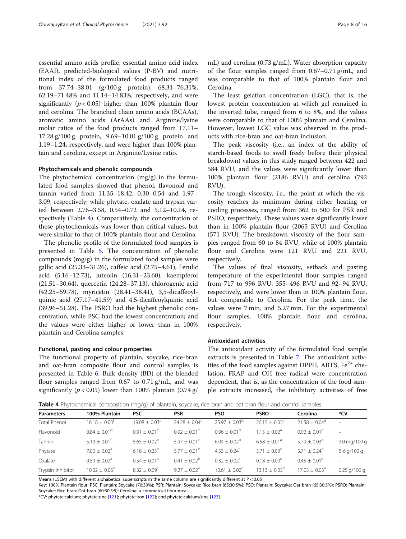essential amino acids profile, essential amino acid index (EAAI), predicted-biological values (P-BV) and nutritional index of the formulated food products ranged from 37.74–38.01 (g/100 g protein), 68.31–76.31%, 62.19–71.48% and 11.14–14.83%, respectively, and were significantly ( $p < 0.05$ ) higher than 100% plantain flour and cerolina. The branched chain amino acids (BCAAs), aromatic amino acids (ArAAs) and Arginine/lysine molar ratios of the food products ranged from 17.11– 17.28 g/100 g protein, 9.69–10.01 g/100 g protein and 1.19–1.24, respectively, and were higher than 100% plantain and cerolina, except in Arginine/Lysine ratio.

#### Phytochemicals and phenolic compounds

The phytochemical concentration (mg/g) in the formulated food samples showed that phenol, flavonoid and tannin varied from 11.35–18.42, 0.30–0.54 and 1.97– 3.09, respectively; while phytate, oxalate and trypsin varied between 2.76–3.58, 0.54–0.72 and 5.12–10.14, respectively (Table 4). Comparatively, the concentration of these phytochemicals was lower than critical values, but were similar to that of 100% plantain flour and Cerolina.

The phenolic profile of the formulated food samples is presented in Table [5](#page-8-0). The concentration of phenolic compounds (mg/g) in the formulated food samples were gallic acid (25.33–31.26), caffeic acid (2.75–4.61), Ferulic acid (5.16–12.73), luteolin (16.31–23.60), kaempferol (21.51–30.64), quercetin (24.28–37.13), chlorogenic acid (42.25–59.78), myricetin (28.41–38.41), 3,5-dicaffeoylquinic acid (27.17–41.59) and 4,5-dicaffeoylquinic acid (39.96–51.28). The PSRO had the highest phenolic concentration, while PSC had the lowest concentration; and the values were either higher or lower than in 100% plantain and Cerolina samples.

## Functional, pasting and colour properties

The functional property of plantain, soycake, rice-bran and oat-bran composite flour and control samples is presented in Table [6](#page-8-0). Bulk density (BD) of the blended flour samples ranged from 0.67 to 0.71 g/mL, and was significantly ( $p < 0.05$ ) lower than 100% plantain (0.74 g/

mL) and cerolina (0.73 g/mL). Water absorption capacity of the flour samples ranged from 0.67–0.71 g/mL, and was comparable to that of 100% plantain flour and Cerolina.

The least gelation concentration (LGC), that is, the lowest protein concentration at which gel remained in the inverted tube, ranged from 6 to 8%, and the values were comparable to that of 100% plantain and Cerolina. However, lowest LGC value was observed in the products with rice-bran and oat-bran inclusion.

The peak viscosity (i.e., an index of the ability of starch-based foods to swell freely before their physical breakdown) values in this study ranged between 422 and 584 RVU, and the values were significantly lower than 100% plantain flour (2186 RVU) and cerolina (792 RVU).

The trough viscosity, i.e., the point at which the viscosity reaches its minimum during either heating or cooling processes, ranged from 362 to 500 for PSR and PSRO, respectively. These values were significantly lower than in 100% plantain flour (2065 RVU) and Cerolina (571 RVU). The breakdown viscosity of the flour samples ranged from 60 to 84 RVU, while of 100% plantain flour and Cerolina were 121 RVU and 221 RVU, respectively.

The values of final viscosity, setback and pasting temperature of the experimental flour samples ranged from 717 to 996 RVU, 355–496 RVU and 92–94 RVU, respectively, and were lower than in 100% plantain flour, but comparable to Cerolina. For the peak time, the values were 7 min. and 5.27 min. For the experimental flour samples, 100% plantain flour and cerolina, respectively.

#### Antioxidant activities

The antioxidant activity of the formulated food sample extracts is presented in Table [7.](#page-9-0) The antioxidant activities of the food samples against DPPH, ABTS,  $Fe<sup>2+</sup>$  chelation, FRAP and OH free radical were concentration dependent, that is, as the concentration of the food sample extracts increased, the inhibitory activities of free

Table 4 Phytochemical composition (mg/g) of plantain, soycake, rice bran and oat bran flour and control samples

| <b>Parameters</b>   | 100% Plantain                 | <b>PSC</b>                   | <b>PSR</b>               | <b>PSO</b>              | <b>PSRO</b>                   | Cerolina                      | *CV            |
|---------------------|-------------------------------|------------------------------|--------------------------|-------------------------|-------------------------------|-------------------------------|----------------|
| <b>Total Phenol</b> | $16.18 \pm 0.03$ <sup>f</sup> | $19.08 \pm 0.03^e$           | $24.28 \pm 0.04^{\circ}$ | $25.97 + 0.03^b$        | $26.15 \pm 0.03$ <sup>a</sup> | $21.58 \pm 0.04^{\circ}$      |                |
| Flavonoid           | $0.84 \pm 0.01$ <sup>d</sup>  | $0.91 \pm 0.01^{\circ}$      | $0.92 + 0.01^{\circ}$    | $0.96 \pm 0.01^{\circ}$ | $1.15 + 0.02a$                | $0.92 \pm 0.01^{\circ}$       |                |
| Tannin              | $5.19 \pm 0.01^{\circ}$       | $5.65 \pm 0.02^e$            | $5.97 \pm 0.01^{\circ}$  | $6.04 \pm 0.02^b$       | $6.58 \pm 0.01$ <sup>a</sup>  | $5.79 \pm 0.03$ <sup>d</sup>  | 3.0 mg/100 g   |
| Phytate             | $7.00 \pm 0.02$ <sup>a</sup>  | $6.18 \pm 0.23^b$            | $5.77 + 0.01^b$          | $4.53 + 0.24^c$         | $3.71 \pm 0.03^{\circ}$       | $3.71 \pm 0.24^d$             | 5-6 g/100 g    |
| Oxalate             | $0.59 \pm 0.02$ <sup>a</sup>  | $0.54 \pm 0.01$ <sup>a</sup> | $0.41 + 0.02^b$          | $0.32 + 0.02^{\circ}$   | $0.18 + 0.00^d$               | $0.45 \pm 0.01^{\rm b}$       |                |
| Trypsin Inhibitor   | $10.02 + 0.06^d$              | $8.32 \pm 0.09$ <sup>f</sup> | $9.27 \pm 0.02^e$        | $10.61 + 0.02^{\circ}$  | $13.13 + 0.03^{b}$            | $17.03 \pm 0.03$ <sup>a</sup> | $0.25$ g/100 g |
|                     |                               |                              |                          |                         |                               |                               |                |

Means (±SEM) with different alphabetical superscripts in the same column are significantly different at P < 0.05

Key: 100% Plantain flour; PSC: Plantain: Soycake (70:30%); PSR: Plantain: Soycake: Rice bran (65:30:5%); PSO: Plantain: Soycake: Oat bran (65:30:5%); PSRO: Plantain: Soycake: Rice bran: Oat bran (60:30:5:5); Cerolina: a commercial flour meal

\*CV: phytate:calcium; phytate:zinc [\[121](#page-15-0)]; phytate:iron [\[122\]](#page-15-0); and phytate:calcium/zinc [[123\]](#page-15-0)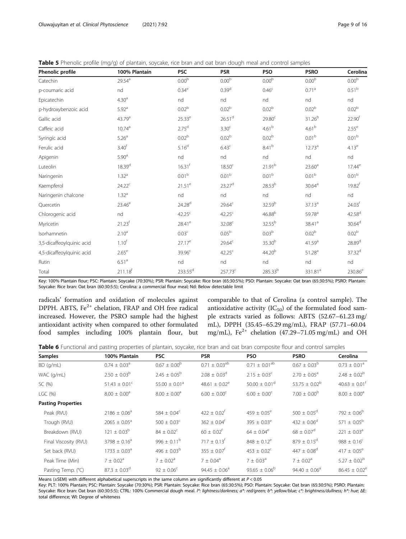<span id="page-8-0"></span>

|  |  | Table 5 Phenolic profile (mg/g) of plantain, soycake, rice bran and oat bran dough meal and control samples |
|--|--|-------------------------------------------------------------------------------------------------------------|

| Phenolic profile          | 100% Plantain       | <b>PSC</b>         | <b>PSR</b>         | <b>PSO</b>                   | <b>PSRO</b>         | Cerolina            |
|---------------------------|---------------------|--------------------|--------------------|------------------------------|---------------------|---------------------|
| Catechin                  | $29.54^{\text{a}}$  | 0.00 <sup>b</sup>  | $0.00^{\rm b}$     | 0.00 <sup>b</sup>            | 0.00 <sup>b</sup>   | $0.00^{\rm b}$      |
| p-coumaric acid           | nd                  | 0.34 <sup>e</sup>  | 0.39 <sup>d</sup>  | 0.46 <sup>c</sup>            | 0.71 <sup>a</sup>   | 0.51 <sup>b</sup>   |
| Epicatechin               | 4.30 <sup>a</sup>   | nd                 | nd                 | nd                           | nd                  | nd                  |
| p-hydroxybenzoic acid     | 5.92 <sup>a</sup>   | $0.02^{\rm b}$     | 0.02 <sup>b</sup>  | 0.02 <sup>b</sup>            | 0.02 <sup>b</sup>   | 0.02 <sup>b</sup>   |
| Gallic acid               | 43.79 <sup>a</sup>  | $25.33^e$          | 26.51 <sup>d</sup> | 29.80 <sup>c</sup>           | $31.26^{b}$         | 22.90 <sup>f</sup>  |
| Caffeic acid              | 10.74 <sup>a</sup>  | $2.75^{d}$         | 3.30 <sup>c</sup>  | 4.61 <sup>b</sup>            | 4.61 <sup>b</sup>   | $2.55^e$            |
| Syringic acid             | 5.26 <sup>a</sup>   | $0.02^{\rm b}$     | 0.02 <sup>b</sup>  | 0.02 <sup>b</sup>            | 0.01 <sup>b</sup>   | 0.01 <sup>b</sup>   |
| Ferulic acid              | 3.40 <sup>f</sup>   | 5.16 <sup>d</sup>  | 6.43 <sup>c</sup>  | 8.41 <sup>b</sup>            | 12.73 <sup>a</sup>  | 4.13 <sup>e</sup>   |
| Apigenin                  | 5.90 <sup>a</sup>   | nd                 | nd                 | $\operatorname{\mathsf{nd}}$ | nd                  | nd                  |
| Luteolin                  | $18.39^{d}$         | 16.31 <sup>f</sup> | 18.50 <sup>c</sup> | 21.91 <sup>b</sup>           | 23.60 <sup>a</sup>  | $17.44^e$           |
| Naringenin                | 1.32 <sup>a</sup>   | 0.01 <sup>b</sup>  | 0.01 <sup>b</sup>  | $0.01^{\rm b}$               | 0.01 <sup>b</sup>   | 0.01 <sup>b</sup>   |
| Kaempferol                | $24.22^c$           | $21.51^e$          | 23.27 <sup>d</sup> | 28.53 <sup>b</sup>           | 30.64 <sup>a</sup>  | $19.82^{f}$         |
| Naringenin chalcone       | 1.32 <sup>a</sup>   | nd                 | nd                 | nd                           | nd                  | nd                  |
| Quercetin                 | $23.46^e$           | 24.28 <sup>d</sup> | $29.64^c$          | 32.59 <sup>b</sup>           | 37.13 <sup>a</sup>  | 24.03 <sup>f</sup>  |
| Chlorogenic acid          | nd                  | 42.25 <sup>c</sup> | 42.25 <sup>c</sup> | $46.88^{b}$                  | 59.78 <sup>a</sup>  | $42.58^{d}$         |
| Myricetin                 | $21.23^{f}$         | 28.41 <sup>e</sup> | 32.08 <sup>c</sup> | 32.55 <sup>b</sup>           | 38.41 <sup>a</sup>  | 30.64 <sup>d</sup>  |
| Isorhamnetin              | 2.10 <sup>a</sup>   | 0.03 <sup>c</sup>  | 0.05 <sup>b</sup>  | 0.03 <sup>b</sup>            | 0.02 <sup>b</sup>   | 0.02 <sup>b</sup>   |
| 3,5-dicaffeoylquinic acid | 1.10 <sup>f</sup>   | 27.17 <sup>e</sup> | $29.64^c$          | 35.30 <sup>b</sup>           | 41.59 <sup>a</sup>  | 28.89 <sup>d</sup>  |
| 4,5-dicaffeoylquinic acid | $2.65^{\mathrm{e}}$ | 39.96 <sup>c</sup> | 42.25 <sup>c</sup> | 44.20 <sup>b</sup>           | 51.28 <sup>a</sup>  | $37.32^d$           |
| Rutin                     | 6.51 <sup>a</sup>   | nd                 | nd                 | nd                           | nd                  | nd                  |
| Total                     | $211.18^{f}$        | $233.55^d$         | $257.73^c$         | 285.33 <sup>b</sup>          | 331.81 <sup>a</sup> | 230.86 <sup>e</sup> |

Key: 100% Plantain flour; PSC: Plantain: Soycake (70:30%); PSR: Plantain: Soycake: Rice bran (65:30:5%); PSO: Plantain: Soycake: Oat bran (65:30:5%); PSRO: Plantain: Soycake: Rice bran: Oat bran (60:30:5:5); Cerolina: a commercial flour meal; Nd: Below detectable limit

radicals' formation and oxidation of molecules against DPPH. ABTS, Fe<sup>2+</sup> chelation, FRAP and OH free radical increased. However, the PSRO sample had the highest antioxidant activity when compared to other formulated food samples including 100% plantain flour, but comparable to that of Cerolina (a control sample). The antioxidative activity  $(IC_{50})$  of the formulated food sample extracts varied as follows: ABTS (52.67–61.23 mg/ mL), DPPH (35.45–65.29 mg/mL), FRAP (57.71–60.04 mg/mL),  $Fe^{2+}$  chelation (47.29–71.05 mg/mL) and OH

Table 6 Functional and pasting properties of plantain, soycake, rice bran and oat bran composite flour and control samples

| <b>Samples</b>            | 100% Plantain                | <b>PSC</b>                    | <b>PSR</b>                    | <b>PSO</b>                    | <b>PSRO</b>                   | Cerolina                      |
|---------------------------|------------------------------|-------------------------------|-------------------------------|-------------------------------|-------------------------------|-------------------------------|
| BD(q/mL)                  | $0.74 \pm 0.03$ <sup>a</sup> | $0.67 \pm 0.00^{\circ}$       | $0.71 \pm 0.03^{ab}$          | $0.71 \pm 0.01^{ab}$          | $0.67 \pm 0.03^{\rm b}$       | $0.73 \pm 0.01$ <sup>a</sup>  |
| WAC (g/mL)                | $2.50 \pm 0.03^b$            | $2.45 \pm 0.05^{\rm b}$       | $2.08 \pm 0.03^d$             | $2.15 \pm 0.03^{\circ}$       | $2.70 \pm 0.05^{\circ}$       | $2.48 \pm 0.02^b$             |
| SC(%)                     | $51.43 \pm 0.01^{\circ}$     | 55.00 $\pm$ 0.01 <sup>a</sup> | 48.61 $\pm$ 0.02 <sup>e</sup> | $50.00 \pm 0.01$ <sup>d</sup> | 53.75 $\pm$ 0.02 <sup>b</sup> | $40.63 \pm 0.01$ <sup>f</sup> |
| LGC (%)                   | $8.00 \pm 0.00^a$            | $8.00 \pm 0.00^a$             | $6.00 \pm 0.00^{\circ}$       | $6.00 \pm 0.00^{\circ}$       | $7.00 \pm 0.00^{\circ}$       | $8.00 \pm 0.00^a$             |
| <b>Pasting Properties</b> |                              |                               |                               |                               |                               |                               |
| Peak (RVU)                | $2186 \pm 0.06^a$            | 584 $\pm$ 0.04 <sup>c</sup>   | $422 \pm 0.02$ <sup>f</sup>   | $459 \pm 0.05^e$              | $500 \pm 0.05^{\circ}$        | $792 \pm 0.06^{\rm b}$        |
| Trough (RVU)              | $2065 \pm 0.05^a$            | $500 \pm 0.03^{\circ}$        | $362 \pm 0.04$ <sup>f</sup>   | $395 \pm 0.03^e$              | $432 \pm 0.06^{\circ}$        | 571 $\pm$ 0.05 <sup>b</sup>   |
| Breakdown (RVU)           | $121 \pm 0.03^b$             | $84 \pm 0.02^{\circ}$         | $60 \pm 0.02^{\dagger}$       | $64 \pm 0.04^e$               | $68 \pm 0.07$ <sup>d</sup>    | $221 \pm 0.03^a$              |
| Final Viscosity (RVU)     | $3798 \pm 0.16^a$            | 996 ± $0.11^b$                | $717 \pm 0.13$ <sup>f</sup>   | $848 \pm 0.12^e$              | $879 \pm 0.15^{\circ}$        | $988 \pm 0.16^{\circ}$        |
| Set back (RVU)            | $1733 \pm 0.03^a$            | $496 \pm 0.03^{\rm b}$        | $355 \pm 0.07$ <sup>f</sup>   | $453 \pm 0.02^{\circ}$        | $447 \pm 0.08$ <sup>d</sup>   | $417 \pm 0.05^{\circ}$        |
| Peak Time (Min)           | $7 \pm 0.02^a$               | $7 \pm 0.02^{\circ}$          | $7 \pm 0.04^{\circ}$          | $7 \pm 0.03^{\circ}$          | $7 \pm 0.02^{\circ}$          | $5.27 \pm 0.02^b$             |
| Pasting Temp. (°C)        | $87.3 \pm 0.03^{\circ}$      | $92 \pm 0.06^{\circ}$         | $94.45 \pm 0.06^a$            | $93.65 \pm 0.06^{\circ}$      | $94.40 \pm 0.06^a$            | $86.45 \pm 0.02^e$            |

Means ( $\pm$ SEM) with different alphabetical superscripts in the same column are significantly different at  $P < 0.05$ 

Key: PLT: 100% Plantain; PSC: Plantain: Soycake (70:30%); PSR: Plantain: Soycake: Rice bran (65:30:5%); PSO: Plantain: Soycake: Oat bran (65:30:5%); PSRO: Plantain: Soycake: Rice bran: Oat bran (60:30:5:5); CTRL: 100% Commercial dough meal. I\*: lightness/darkness; a\*: red/green; b\*: yellow/blue; c\*: brightness/dullness; h\*: hue; ΔΕ: total difference; WI: Degree of whiteness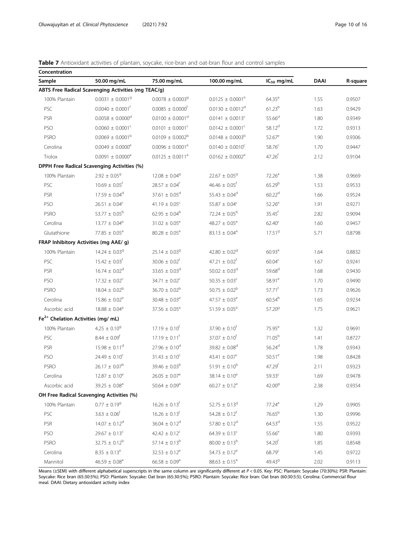## <span id="page-9-0"></span>Table 7 Antioxidant activities of plantain, soycake, rice-bran and oat-bran flour and control samples

| Concentration                                  |                                                     |                                  |                                  |                      |             |          |
|------------------------------------------------|-----------------------------------------------------|----------------------------------|----------------------------------|----------------------|-------------|----------|
| Sample                                         | 50.00 mg/mL                                         | 75.00 mg/mL                      | 100.00 mg/mL                     | $IC_{50}$ mg/mL      | <b>DAAI</b> | R-square |
|                                                | ABTS Free Radical Scavenging Activities (mg TEAC/g) |                                  |                                  |                      |             |          |
| 100% Plantain                                  | $0.0031 \pm 0.00019$                                | $0.0078 \pm 0.0003$ <sup>g</sup> | $0.0125 \pm 0.0001^e$            | $64.35^{a}$          | 1.55        | 0.9507   |
| PSC                                            | $0.0040 \pm 0.0001^{\dagger}$                       | $0.0085 \pm 0.0000^{\dagger}$    | $0.0130 \pm 0.0012^d$            | 61.23 <sup>b</sup>   | 1.63        | 0.9429   |
| PSR                                            | $0.0058 \pm 0.0000$ <sup>d</sup>                    | $0.0100 \pm 0.0001$ <sup>d</sup> | $0.0141 \pm 0.0013$ <sup>c</sup> | $55.66^{d}$          | 1.80        | 0.9349   |
| <b>PSO</b>                                     | $0.0060 \pm 0.0001^c$                               | $0.0101 \pm 0.0001^c$            | $0.0142 \pm 0.0001$ <sup>c</sup> | 58.12 <sup>d</sup>   | 1.72        | 0.9313   |
| <b>PSRO</b>                                    | $0.0069 \pm 0.0001^{\rm b}$                         | $0.0109 \pm 0.0002^{\circ}$      | $0.0148 \pm 0.0003^b$            | $52.67^e$            | 1.90        | 0.9306   |
| Cerolina                                       | $0.0049 \pm 0.0000^{\circ}$                         | $0.0096 \pm 0.0001^e$            | $0.0140 \pm 0.0010^c$            | 58.76 <sup>c</sup>   | 1.70        | 0.9447   |
| Trolox                                         | $0.0091 \pm 0.0000$ <sup>a</sup>                    | $0.0125 \pm 0.0011^a$            | $0.0162 \pm 0.0002$ <sup>a</sup> | 47.26 <sup>f</sup>   | 2.12        | 0.9104   |
|                                                | <b>DPPH Free Radical Scavenging Activities (%)</b>  |                                  |                                  |                      |             |          |
| 100% Plantain                                  | $2.92 \pm 0.05^9$                                   | $12.08 \pm 0.04^9$               | $22.67 \pm 0.05^9$               | 72.26 <sup>a</sup>   | 1.38        | 0.9669   |
| PSC                                            | $10.69 \pm 0.05$ <sup>f</sup>                       | $28.57 \pm 0.04$ <sup>f</sup>    | $46.46 \pm 0.05$ <sup>f</sup>    | 65.29 <sup>b</sup>   | 1.53        | 0.9533   |
| PSR                                            | $17.59 \pm 0.04^d$                                  | $37.61 \pm 0.05^d$               | $55.43 \pm 0.04^d$               | 60.22 <sup>d</sup>   | 1.66        | 0.9524   |
| PSO                                            | $26.51 \pm 0.04^c$                                  | 41.19 $\pm$ 0.05 <sup>c</sup>    | $55.87 \pm 0.04^c$               | $52.26^e$            | 1.91        | 0.9271   |
| <b>PSRO</b>                                    | 53.77 $\pm$ 0.05 <sup>b</sup>                       | $62.95 \pm 0.04^b$               | $72.24 \pm 0.05^{\rm b}$         | $35.45$ <sup>f</sup> | 2.82        | 0.9094   |
| Cerolina                                       | $13.77 \pm 0.04^e$                                  | $31.02 \pm 0.05^e$               | 48.27 $\pm$ 0.05 <sup>e</sup>    | $62.40^{\circ}$      | 1.60        | 0.9457   |
| Glutathione                                    | 77.85 $\pm$ 0.05 <sup>a</sup>                       | $80.28 \pm 0.05^a$               | $83.13 \pm 0.04^a$               | 17.51 <sup>9</sup>   | 5.71        | 0.8798   |
| FRAP Inhibitory Activities (mg AAE/ g)         |                                                     |                                  |                                  |                      |             |          |
| 100% Plantain                                  | $14.24 \pm 0.039$                                   | $25.14 \pm 0.03$ <sup>g</sup>    | $42.80 \pm 0.02$ <sup>g</sup>    | 60.93 <sup>a</sup>   | 1.64        | 0.8832   |
| PSC                                            | $15.42 \pm 0.03$ <sup>†</sup>                       | $30.06 \pm 0.02$ <sup>f</sup>    | $47.21 \pm 0.02^f$               | $60.04^c$            | 1.67        | 0.9241   |
| PSR                                            | $16.74 \pm 0.02^d$                                  | $33.65 \pm 0.03^d$               | $50.02 \pm 0.03$ <sup>d</sup>    | 59.68 <sup>d</sup>   | 1.68        | 0.9430   |
| PSO                                            | $17.32 \pm 0.02^c$                                  | 34.71 $\pm$ 0.02 <sup>c</sup>    | $50.35 \pm 0.03^c$               | 58.91 <sup>e</sup>   | 1.70        | 0.9490   |
| <b>PSRO</b>                                    | $18.04 \pm 0.02^b$                                  | $36.70 \pm 0.02^b$               | $50.75 \pm 0.02^b$               | $57.71^{f}$          | 1.73        | 0.9626   |
| Cerolina                                       | $15.86 \pm 0.02^e$                                  | $30.48 \pm 0.03^e$               | $47.57 \pm 0.03^e$               | $60.54^{b}$          | 1.65        | 0.9234   |
| Ascorbic acid                                  | $18.88 \pm 0.04^a$                                  | $37.56 \pm 0.05^a$               | $51.59 \pm 0.05^a$               | 57.20 <sup>9</sup>   | 1.75        | 0.9621   |
| Fe <sup>2+</sup> Chelation Activities (mg/ mL) |                                                     |                                  |                                  |                      |             |          |
| 100% Plantain                                  | $4.25 \pm 0.10^9$                                   | $17.19 \pm 0.10^f$               | $37.90 \pm 0.10^f$               | $75.95^{\text{a}}$   | 1.32        | 0.9691   |
| PSC                                            | $8.44 \pm 0.09^f$                                   | $17.19 \pm 0.11^{\rm f}$         | $37.07 \pm 0.10^{f}$             | 71.05 <sup>b</sup>   | 1.41        | 0.8727   |
| PSR                                            | $15.98 \pm 0.11^d$                                  | $27.96 \pm 0.10^d$               | $39.82 \pm 0.08^d$               | $56.24^{d}$          | 1.78        | 0.9343   |
| PSO                                            | $24.49 \pm 0.10^c$                                  | $31.43 \pm 0.10^c$               | 43.41 $\pm$ 0.07 <sup>c</sup>    | $50.51^e$            | 1.98        | 0.8428   |
| <b>PSRO</b>                                    | $26.17 \pm 0.07^{\rm b}$                            | $39.46 \pm 0.03^b$               | $51.91 \pm 0.10^{b}$             | 47.29 <sup>f</sup>   | 2.11        | 0.9323   |
| Cerolina                                       | $12.87 \pm 0.10^e$                                  | $26.05 \pm 0.07^e$               | $38.14 \pm 0.10^e$               | $59.33^{c}$          | 1.69        | 0.9478   |
| Ascorbic acid                                  | $39.25 \pm 0.08^a$                                  | $50.64 \pm 0.09^a$               | $60.27 \pm 0.12$ <sup>a</sup>    | 42.00 <sup>9</sup>   | 2.38        | 0.9354   |
|                                                | OH Free Radical Scavenging Activities (%)           |                                  |                                  |                      |             |          |
| 100% Plantain                                  | $0.77 \pm 0.19^9$                                   | $16.26 \pm 0.13$ <sup>f</sup>    | $52.75 \pm 0.13^9$               | 77.24 <sup>a</sup>   | 1.29        | 0.9905   |
| PSC                                            | $3.63 \pm 0.06$ <sup>f</sup>                        | $16.26 \pm 0.13$ <sup>f</sup>    | $54.28 \pm 0.12^f$               | 76.65 <sup>b</sup>   | 1.30        | 0.9996   |
| PSR                                            | $14.07 \pm 0.12^d$                                  | $36.04 \pm 0.12^d$               | $57.80 \pm 0.12^d$               | 64.53 <sup>d</sup>   | 1.55        | 0.9522   |
| PSO                                            | $29.67 \pm 0.13^c$                                  | $42.42 \pm 0.12^c$               | $64.39 \pm 0.13^c$               | $55.66^e$            | 1.80        | 0.9393   |
| <b>PSRO</b>                                    | $32.75 \pm 0.12^b$                                  | 57.14 $\pm$ 0.13 <sup>b</sup>    | $80.00 \pm 0.13^b$               | 54.20 <sup>f</sup>   | 1.85        | 0.8548   |
| Cerolina                                       | $8.35 \pm 0.13^e$                                   | $32.53 \pm 0.12^e$               | $54.73 \pm 0.12^e$               | 68.79 <sup>c</sup>   | 1.45        | 0.9722   |
| Mannitol                                       | $46.59 \pm 0.08$ <sup>a</sup>                       | $66.58 \pm 0.09^a$               | $88.63 \pm 0.15^a$               | 49.43 <sup>9</sup>   | 2.02        | 0.9113   |

Means (±SEM) with different alphabetical superscripts in the same column are significantly different at P < 0.05. Key: PSC: Plantain: Soycake (70:30%); PSR: Plantain: Soycake: Rice bran (65:30:5%); PSO: Plantain: Soycake: Oat bran (65:30:5%); PSRO: Plantain: Soycake: Rice bran: Oat bran (60:30:5:5); Cerolina: Commercial flour meal. DAAI: Dietary antioxidant activity index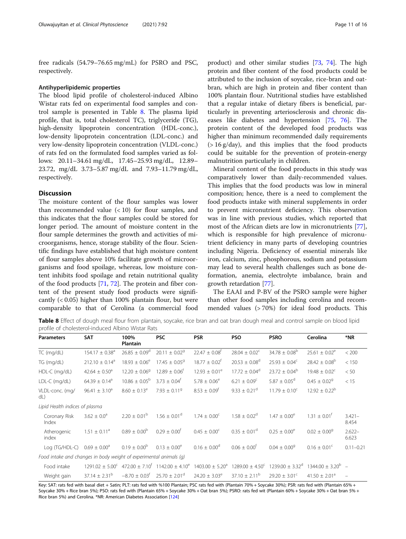free radicals (54.79–76.65 mg/mL) for PSRO and PSC, respectively.

#### Antihyperlipidemic properties

The blood lipid profile of cholesterol-induced Albino Wistar rats fed on experimental food samples and control sample is presented in Table 8. The plasma lipid profile, that is, total cholesterol TC), triglyceride (TG), high-density lipoprotein concentration (HDL-conc.), low-density lipoprotein concentration (LDL-conc.) and very low-density lipoprotein concentration (VLDL-conc.) of rats fed on the formulated food samples varied as follows: 20.11–34.61 mg/dL, 17.45–25.93 mg/dL, 12.89– 23.72, mg/dL 3.73–5.87 mg/dL and 7.93–11.79 mg/dL, respectively.

## Discussion

The moisture content of the flour samples was lower than recommended value  $(< 10$ ) for flour samples, and this indicates that the flour samples could be stored for longer period. The amount of moisture content in the flour sample determines the growth and activities of microorganisms, hence, storage stability of the flour. Scientific findings have established that high moisture content of flour samples above 10% facilitate growth of microorganisms and food spoilage, whereas, low moisture content inhibits food spoilage and retain nutritional quality of the food products [\[71,](#page-14-0) [72](#page-14-0)]. The protein and fiber content of the present study food products were significantly  $( $0.05$ ) higher than 100% plantain flour, but were$ comparable to that of Cerolina (a commercial food

product) and other similar studies [[73,](#page-14-0) [74\]](#page-14-0). The high protein and fiber content of the food products could be attributed to the inclusion of soycake, rice-bran and oatbran, which are high in protein and fiber content than 100% plantain flour. Nutritional studies have established that a regular intake of dietary fibers is beneficial, particularly in preventing arteriosclerosis and chronic diseases like diabetes and hypertension [[75](#page-14-0), [76\]](#page-14-0). The protein content of the developed food products was higher than minimum recommended daily requirements (> 16 g/day), and this implies that the food products could be suitable for the prevention of protein-energy malnutrition particularly in children.

Mineral content of the food products in this study was comparatively lower than daily-recommended values. This implies that the food products was low in mineral composition; hence, there is a need to complement the food products intake with mineral supplements in order to prevent micronutrient deficiency. This observation was in line with previous studies, which reported that most of the African diets are low in micronutrients [\[77](#page-14-0)], which is responsible for high prevalence of micronutrient deficiency in many parts of developing countries including Nigeria. Deficiency of essential minerals like iron, calcium, zinc, phosphorous, sodium and potassium may lead to several health challenges such as bone deformation, anemia, electrolyte imbalance, brain and growth retardation [[77\]](#page-14-0).

The EAAI and P-BV of the PSRO sample were higher than other food samples including cerolina and recommended values (> 70%) for ideal food products. This

Table 8 Effect of dough meal flour from plantain, soycake, rice bran and oat bran dough meal and control sample on blood lipid profile of cholesterol-induced Albino Wistar Rats

| <b>Parameters</b>                                                  | <b>SAT</b>                     | 100%<br>Plantain              | <b>PSC</b>                    | <b>PSR</b>                      | <b>PSO</b>                    | <b>PSRO</b>              | Cerolina                     | *NR                |
|--------------------------------------------------------------------|--------------------------------|-------------------------------|-------------------------------|---------------------------------|-------------------------------|--------------------------|------------------------------|--------------------|
| TC (mg/dL)                                                         | $154.17 \pm 0.38$ <sup>a</sup> | $26.85 \pm 0.09^d$            | $20.11 \pm 0.029$             | $22.47 \pm 0.08$ <sup>t</sup>   | $28.04 \pm 0.02^{\circ}$      | $34.78 \pm 0.08^{\rm b}$ | $25.61 \pm 0.02^e$           | < 200              |
| TG (mg/dL)                                                         | $212.10 \pm 0.14^a$            | $18.93 \pm 0.06^e$            | $17.45 \pm 0.05^9$            | $18.77 \pm 0.02^{\dagger}$      | $20.53 \pm 0.08$ <sup>d</sup> | $25.93 \pm 0.04^{\circ}$ | $28.42 \pm 0.08^{\circ}$     | < 150              |
| HDL-C (mg/dL)                                                      | $42.64 \pm 0.50$ <sup>a</sup>  | $12.20 + 0.06^9$              | $12.89 + 0.06^{\dagger}$      | $12.93 \pm 0.01^e$              | $17.72 \pm 0.04^{\circ}$      | $23.72 \pm 0.04^b$       | $19.48 \pm 0.02^{\circ}$     | < 50               |
| LDL-C (mg/dL)                                                      | $64.39 \pm 0.14$ <sup>a</sup>  | $10.86 \pm 0.05^{\circ}$      | $3.73 + 0.04^{\dagger}$       | $5.78 \pm 0.06^e$               | $6.21 \pm 0.09^{\circ}$       | $5.87 \pm 0.05^{\circ}$  | $0.45 \pm 0.02$ <sup>9</sup> | < 15               |
| VLDL-conc. (mg/<br>dL)                                             | $96.41 \pm 3.10^a$             | $8.60 \pm 0.13^e$             | $7.93 \pm 0.119$              | $8.53 \pm 0.09$ <sup>t</sup>    | $9.33 \pm 0.21$ <sup>d</sup>  | $11.79 \pm 0.10^{\circ}$ | $12.92 \pm 0.22^b$           |                    |
| Lipid Health indices of plasma                                     |                                |                               |                               |                                 |                               |                          |                              |                    |
| Coronary Risk<br>Index                                             | $3.62 \pm 0.0^a$               | $2.20 + 0.01^b$               | $1.56 + 0.01^d$               | $1.74 \pm 0.00^{\circ}$         | $1.58 \pm 0.02^d$             | $1.47 \pm 0.00^{\circ}$  | $1.31 + 0.01^{\dagger}$      | $3.421 -$<br>8.454 |
| Atherogenic<br>index                                               | $1.51 \pm 0.11^a$              | $0.89 \pm 0.00^{\circ}$       | $0.29 + 0.00^{\dagger}$       | $0.45 \pm 0.00^{\circ}$         | $0.35 \pm 0.01$ <sup>d</sup>  | $0.25 \pm 0.00^e$        | $0.02 \pm 0.00$ <sup>g</sup> | $2.622-$<br>6.623  |
| Log (TG/HDL-C)                                                     | $0.69 \pm 0.00^{\circ}$        | $0.19 \pm 0.00^{\circ}$       | $0.13 \pm 0.00^{\circ}$       | $0.16 \pm 0.00^{\circ}$         | $0.06 \pm 0.00^{\dagger}$     | $0.04 \pm 0.00^9$        | $0.16 \pm 0.01^{\circ}$      | $0.11 - 0.21$      |
| Food intake and changes in body weight of experimental animals (q) |                                |                               |                               |                                 |                               |                          |                              |                    |
| Food intake                                                        | $1291.02 \pm 5.00^{\circ}$     | $472.00 \pm 7.10^f$           | $1142.00 \pm 4.10^e$          | $1403.00 \pm 5.20$ <sup>a</sup> | $1289.00 \pm 4.50^{\circ}$    | $1239.00 \pm 3.32^d$     | $1344.00 + 3.20^{b}$ -       |                    |
| Weight gain                                                        | $37.14 \pm 2.31^b$             | $-8.70 \pm 0.03$ <sup>t</sup> | $25.70 \pm 2.01$ <sup>d</sup> | $24.20 \pm 3.03^e$              | $37.10 \pm 2.11^{\rm b}$      | $29.20 \pm 3.01^{\circ}$ | $41.50 \pm 2.01^a$           | $\equiv$           |

Key: SAT: rats fed with basal diet + Satin; PLT: rats fed with %100 Plantain; PSC rats fed with (Plantain 70% + Soycake 30%); PSR: rats fed with (Plantain 65% + Soycake 30% + Rice bran 5%); PSO: rats fed with (Plantain 65% + Soycake 30% + Oat bran 5%); PSRO: rats fed wit (Plantain 60% + Soycake 30% + Oat bran 5% + Rice bran 5%) and Cerolina. \*NR: American Diabetes Association [[124\]](#page-15-0)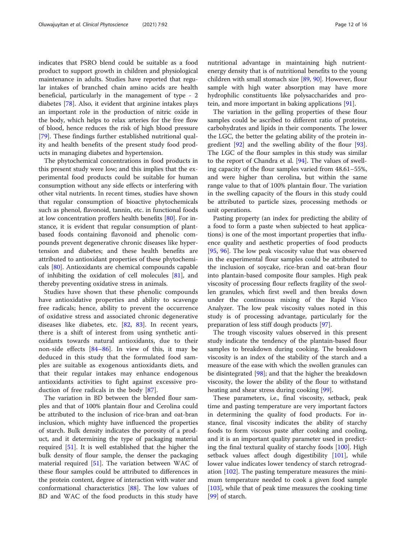indicates that PSRO blend could be suitable as a food product to support growth in children and physiological maintenance in adults. Studies have reported that regular intakes of branched chain amino acids are health beneficial, particularly in the management of type - 2 diabetes [\[78](#page-14-0)]. Also, it evident that arginine intakes plays an important role in the production of nitric oxide in the body, which helps to relax arteries for the free flow of blood, hence reduces the risk of high blood pressure [[79\]](#page-14-0). These findings further established nutritional quality and health benefits of the present study food products in managing diabetes and hypertension.

The phytochemical concentrations in food products in this present study were low; and this implies that the experimental food products could be suitable for human consumption without any side effects or interfering with other vital nutrients. In recent times, studies have shown that regular consumption of bioactive phytochemicals such as phenol, flavonoid, tannin, etc. in functional foods at low concentration proffers health benefits [\[80](#page-14-0)]. For instance, it is evident that regular consumption of plantbased foods containing flavonoid and phenolic compounds prevent degenerative chronic diseases like hypertension and diabetes; and these health benefits are attributed to antioxidant properties of these phytochemicals [\[80](#page-14-0)]. Antioxidants are chemical compounds capable of inhibiting the oxidation of cell molecules [\[81](#page-14-0)], and thereby preventing oxidative stress in animals.

Studies have shown that these phenolic compounds have antioxidative properties and ability to scavenge free radicals; hence, ability to prevent the occurrence of oxidative stress and associated chronic degenerative diseases like diabetes, etc. [\[82](#page-14-0), [83](#page-14-0)]. In recent years, there is a shift of interest from using synthetic antioxidants towards natural antioxidants, due to their non-side effects [[84](#page-14-0)–[86\]](#page-14-0). In view of this, it may be deduced in this study that the formulated food samples are suitable as exogenous antioxidants diets, and that their regular intakes may enhance endogenous antioxidants activities to fight against excessive production of free radicals in the body [\[87](#page-14-0)].

The variation in BD between the blended flour samples and that of 100% plantain flour and Cerolina could be attributed to the inclusion of rice-bran and oat-bran inclusion, which mighty have influenced the properties of starch. Bulk density indicates the porosity of a product, and it determining the type of packaging material required [[51\]](#page-14-0). It is well established that the higher the bulk density of flour sample, the denser the packaging material required [\[51](#page-14-0)]. The variation between WAC of these flour samples could be attributed to differences in the protein content, degree of interaction with water and conformational characteristics [[88\]](#page-14-0). The low values of BD and WAC of the food products in this study have nutritional advantage in maintaining high nutrientenergy density that is of nutritional benefits to the young children with small stomach size [[89](#page-14-0), [90](#page-14-0)]. However, flour sample with high water absorption may have more hydrophilic constituents like polysaccharides and protein, and more important in baking applications [\[91](#page-14-0)].

The variation in the gelling properties of these flour samples could be ascribed to different ratio of proteins, carbohydrates and lipids in their components. The lower the LGC, the better the gelating ability of the protein ingredient [[92\]](#page-15-0) and the swelling ability of the flour [\[93](#page-15-0)]. The LGC of the flour samples in this study was similar to the report of Chandra et al. [\[94](#page-15-0)]. The values of swelling capacity of the flour samples varied from 48.61–55%, and were higher than cerolina, but within the same range value to that of 100% plantain flour. The variation in the swelling capacity of the flours in this study could be attributed to particle sizes, processing methods or unit operations.

Pasting property (an index for predicting the ability of a food to form a paste when subjected to heat applications) is one of the most important properties that influence quality and aesthetic properties of food products [[95,](#page-15-0) [96](#page-15-0)]. The low peak viscosity value that was observed in the experimental flour samples could be attributed to the inclusion of soycake, rice-bran and oat-bran flour into plantain-based composite flour samples. High peak viscosity of processing flour reflects fragility of the swollen granules, which first swell and then breaks down under the continuous mixing of the Rapid Visco Analyzer. The low peak viscosity values noted in this study is of processing advantage, particularly for the preparation of less stiff dough products [\[97\]](#page-15-0).

The trough viscosity values observed in this present study indicate the tendency of the plantain-based flour samples to breakdown during cooking. The breakdown viscosity is an index of the stability of the starch and a measure of the ease with which the swollen granules can be disintegrated [\[98](#page-15-0)]; and that the higher the breakdown viscosity, the lower the ability of the flour to withstand heating and shear stress during cooking [[99\]](#page-15-0).

These parameters, i.e., final viscosity, setback, peak time and pasting temperature are very important factors in determining the quality of food products. For instance, final viscosity indicates the ability of starchy foods to form viscous paste after cooking and cooling, and it is an important quality parameter used in predicting the final textural quality of starchy foods [\[100\]](#page-15-0). High setback values affect dough digestibility [\[101](#page-15-0)], while lower value indicates lower tendency of starch retrogradation [[102](#page-15-0)]. The pasting temperature measures the minimum temperature needed to cook a given food sample [[103\]](#page-15-0), while that of peak time measures the cooking time [[99\]](#page-15-0) of starch.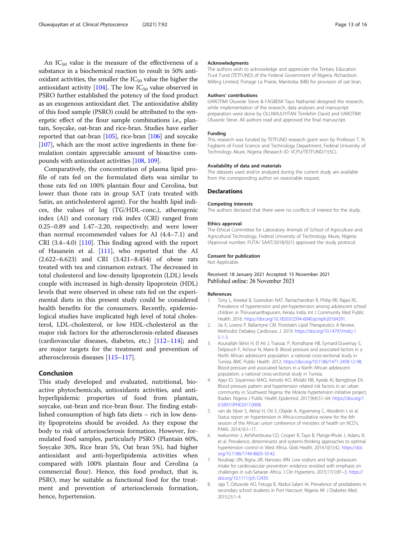<span id="page-12-0"></span>An  $IC_{50}$  value is the measure of the effectiveness of a substance in a biochemical reaction to result in 50% antioxidant activities, the smaller the  $IC_{50}$  value the higher the antioxidant activity  $[104]$  $[104]$ . The low IC<sub>50</sub> value observed in PSRO further established the potency of the food product as an exogenous antioxidant diet. The antioxidative ability of this food sample (PSRO) could be attributed to the synergetic effect of the flour sample combinations i.e., plantain, Soycake, oat-bran and rice-bran. Studies have earlier reported that oat-bran [\[105\]](#page-15-0), rice-bran [\[106\]](#page-15-0) and soycake [[107](#page-15-0)], which are the most active ingredients in these formulation contain appreciable amount of bioactive compounds with antioxidant activities [\[108,](#page-15-0) [109\]](#page-15-0).

Comparatively, the concentration of plasma lipid profile of rats fed on the formulated diets was similar to those rats fed on 100% plantain flour and Cerolina, but lower than those rats in group SAT (rats treated with Satin, an anticholesterol agent). For the health lipid indices, the values of log (TG/HDL-conc.), atherogenic index (AI) and coronary risk index (CRI) ranged from 0.25–0.89 and 1.47–2.20, respectively; and were lower than normal recommended values for AI (4.4–7.1) and CRI (3.4–4.0) [\[110\]](#page-15-0). This finding agreed with the report of Hasanein et al. [[111](#page-15-0)], who reported that the AI (2.622–6.623) and CRI (3.421–8.454) of obese rats treated with tea and cinnamon extract. The decreased in total cholesterol and low-density lipoprotein (LDL) levels couple with increased in high-density lipoprotein (HDL) levels that were observed in obese rats fed on the experimental diets in this present study could be considered health benefits for the consumers. Recently, epidemiological studies have implicated high level of total cholesterol, LDL-cholesterol, or low HDL-cholesterol as the major risk factors for the atherosclerosis-related diseases (cardiovascular diseases, diabetes, etc.) [\[112](#page-15-0)–[114\]](#page-15-0); and are major targets for the treatment and prevention of atherosclerosis diseases [\[115](#page-15-0)–[117\]](#page-15-0).

#### Conclusion

This study developed and evaluated, nutritional, bioactive phytochemicals, antioxidants activities, and antihyperlipidemic properties of food from plantain, soycake, oat-bran and rice-bran flour. The finding established consumption of high fats diets – rich in low density lipoproteins should be avoided. As they expose the body to risk of arteriosclerosis formation. However, formulated food samples, particularly PSRO (Plantain 60%, Soycake 30%, Rice bran 5%, Oat bran 5%), had higher antioxidant and anti-hyperlipidemia activities when compared with 100% plantain flour and Cerolina (a commercial flour). Hence, this food product, that is, PSRO, may be suitable as functional food for the treatment and prevention of arteriosclerosis formation, hence, hypertension.

#### Acknowledgments

The authors wish to acknowledge and appreciate the Tertiary Education Trust Fund (TETFUND) of the Federal Government of Nigeria. Richardson Milling Limited, Portage La Prairie, Manitoba (MB) for provision of oat bran.

#### Authors' contributions

IJAROTIMI Oluwole Steve & FAGBEMI Tayo Nathaniel designed the research; while implementation of the research, data analyses and manuscript preparation were done by OLUWAJUYITAN Timilehin David and IJAROTIMI Oluwole Steve. All authors read and approved the final manuscript.

#### Funding

This research was funded by TETFUND research grant won by Professor T. N. Fagbemi of Food Science and Technology Department, Federal University of Technology Akure, Nigeria (Research ID: VCPU/TETFUND/155C).

#### Availability of data and materials

The datasets used and/or analyzed during the current study are available from the corresponding author on reasonable request.

#### Declarations

#### Competing interests

The authors declared that there were no conflicts of interest for the study.

#### Ethics approval

The Ethical Committee for Laboratory Animals of School of Agriculture and Agricultural Technology, Federal University of Technology Akure, Nigeria (Approval number: FUTA/ SAAT/2018/021) approved the study protocol.

#### Consent for publication

Not Applicable.

#### Received: 18 January 2021 Accepted: 15 November 2021 Published online: 26 November 2021

#### References

- 1. Tony L, Areekal B, Surendran NAT, Ramachandran R, Philip RR, Rajasi RS. Prevalence of hypertension and pre-hypertension among adolescent school children in Thiruvananthapuram, Kerala, India. Int J Community Med Public Health. 2016. <https://doi.org/10.18203/2394-6040.ijcmph20164291>.
- 2. Jia X, Lorenz P, Ballantyne CM. Poststatin Lipid Therapeutics: A Review. Methodist Debakey Cardiovasc J. 2019. [https://doi.org/10.14797/mdcj-1](https://doi.org/10.14797/mdcj-15-1-3) [5-1-3](https://doi.org/10.14797/mdcj-15-1-3).
- 3. Aounallah-Skhiri H, El Ati J, Traissac P, Romdhane HB, Eymard-Duvernay S, Delpeuch F, Achour N, Maire B. Blood pressure and associated factors in a North African adolescent population. a national cross-sectional study in Tunisia. BMC Public Health. 2012; <https://doi.org/10.1186/1471-2458-12-98>, Blood pressure and associated factors in a North African adolescent population. a national cross-sectional study in Tunisia.
- 4. Ajayi IO, Soyannwo MAO, Asinobi AO, Afolabi NB, Ayede AI, Bamgboye EA. Blood pressure pattern and hypertension related risk factors in an urban community in Southwest Nigeria: the Mokola hypertension initiative project, Ibadan. Nigeria J Public Health Epidemiol. 2017;9(4):51–64. [https://doi.org/1](https://doi.org/10.5897/JPHE2017.0908) [0.5897/JPHE2017.0908.](https://doi.org/10.5897/JPHE2017.0908)
- 5. van de Vijver S, Akinyi H, Oti S, Olajide A, Agyemang C, Aboderin I, et al. Status report on hypertension in Africa-consultative review for the 6th session of the African union conference of ministers of health on NCD's. PAMJ. 2014;16:1–17.
- 6. Iwelunmor J, Airhihenbuwa CO, Cooper R, Tayo B, Plange-Rhule J, Adanu R, et al. Prevalence, determinants and systems-thinking approaches to optimal hypertension control in West Africa. Glob Health. 2014;10(1):42. [https://doi.](https://doi.org/10.1186/1744-8603-10-42) [org/10.1186/1744-8603-10-42](https://doi.org/10.1186/1744-8603-10-42).
- 7. Noubiap JJN, Bigna JJR, Nansseu JRN. Low sodium and high potassium intake for cardiovascular prevention: evidence revisited with emphasis on challenges in sub-Saharan Africa. J Clin Hypertens. 2015;17(1):81–3. [https://](https://doi.org/10.1111/jch.12439) [doi.org/10.1111/jch.12439.](https://doi.org/10.1111/jch.12439)
- 8. Jaja T, Oduwole AO, Fetuga B, Abdus-Salam IA. Prevalence of prediabetes in secondary school students in Port Harcourt. Nigeria Afr J Diabetes Med. 2015;23:1–4.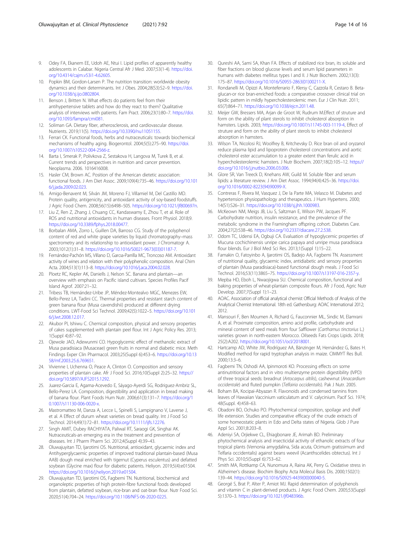- <span id="page-13-0"></span>9. Odey FA, Ekanem EE, Udoh AE, Ntui I. Lipid profiles of apparently healthy adolescents in Calabar. Nigeria Central Afr J Med. 2007;53(1-4). [https://doi.](https://doi.org/10.4314/cajm.v53i1-4.62605) [org/10.4314/cajm.v53i1-4.62605](https://doi.org/10.4314/cajm.v53i1-4.62605).
- 10. Popkin BM, Gordon-Larsen P. The nutrition transition: worldwide obesity dynamics and their determinants. Int J Obes. 2004;28(S3):S2–9. [https://doi.](https://doi.org/10.1038/sj.ijo.0802804) [org/10.1038/sj.ijo.0802804](https://doi.org/10.1038/sj.ijo.0802804).
- 11. Benson J, Britten N. What effects do patients feel from their antihypertensive tablets and how do they react to them? Qualitative analysis of interviews with patients. Fam Pract. 2006;23(1):80–7. [https://doi.](https://doi.org/10.1093/fampra/cmi081) [org/10.1093/fampra/cmi081.](https://doi.org/10.1093/fampra/cmi081)
- 12. Soliman GA. Dietary fiber, atherosclerosis, and cardiovascular disease. Nutrients. 2019;11(5). <https://doi.org/10.3390/nu11051155>.
- 13. Ferrari CK. Functional foods, herbs and nutraceuticals: towards biochemical mechanisms of healthy aging. Biogerontol. 2004;5(5):275–90. [https://doi.](https://doi.org/10.1007/s10522-004-2566-z) [org/10.1007/s10522-004-2566-z.](https://doi.org/10.1007/s10522-004-2566-z)
- 14. Barta I, Smerak P, Polivkova Z, Sestakova H, Langova M, Turek B, et al. Current trends and perspectives in nutrition and cancer prevention. Neoplasma. 2006. 1016416008.
- 15. Hasler CM, Brown AC. Position of the American dietetic association: functional foods. J Am Diet Assoc. 2009;109(4):735–46. [https://doi.org/10.101](https://doi.org/10.1016/j.jada.2009.02.023) [6/j.jada.2009.02.023](https://doi.org/10.1016/j.jada.2009.02.023).
- 16. Amigo-Benavent M, Silván JM, Moreno FJ, Villamiel M, Del Castillo MD. Protein quality, antigenicity, and antioxidant activity of soy-based foodstuffs. J Agric Food Chem. 2008;56(15):6498–505. <https://doi.org/10.1021/jf800697n>.
- 17. Liu Z, Ren Z, Zhang J, Chuang CC, Kandaswamy E, Zhou T, et al. Role of ROS and nutritional antioxidants in human diseases. Front Physiol. 2018;9. <https://doi.org/10.3389/fphys.2018.00477>.
- 18. Borbalan AMA, Zorro L, Guillen DA, Barroso CG. Study of the polyphenol content of red and white grape varieties by liquid chromatography–mass spectrometry and its relationship to antioxidant power. J Chromatogr A. 2003;1012(1):31–8. [https://doi.org/10.1016/S0021-9673\(03\)01187-7.](https://doi.org/10.1016/S0021-9673(03)01187-7)
- 19. Fernández-Pachón MS, Villano D, Garcıa-Parrilla MC, Troncoso AM. Antioxidant activity of wines and relation with their polyphenolic composition. Anal Chim Acta. 2004;513(1):113–8. [https://doi.org/10.1016/j.aca.2004.02.028.](https://doi.org/10.1016/j.aca.2004.02.028)
- 20. Ploetz RC, Kepler AK, Daniells J, Nelson SC. Banana and plantain—an overview with emphasis on Pacific island cultivars. Species Profiles Pacif Island Agrof. 2007:21–32.
- 21. Tribess TB, Hernández-Uribe JP, Méndez-Montealvo MGC, Menezes EW, Bello-Perez LA, Tadini CC. Thermal properties and resistant starch content of green banana flour (Musa cavendishii) produced at different drying conditions. LWT-Food Sci Technol. 2009;42(5):1022–5. [https://doi.org/10.101](https://doi.org/10.1016/j.lwt.2008.12.017) [6/j.lwt.2008.12.017](https://doi.org/10.1016/j.lwt.2008.12.017).
- 22. Akubor PI, Ishiwu C. Chemical composition, physical and sensory properties of cakes supplemented with plantain peel flour. Int J Agric Policy Res. 2013; 1(Suppl 4):87–92.
- 23. Ojewole JAO, Adewunmi CO. Hypoglycemic effect of methanolic extract of Musa paradisiaca (Musaceae) green fruits in normal and diabetic mice. Meth Findings Exper Clin Pharmacol. 2003;25(Suppl 6):453–6. [https://doi.org/10.13](https://doi.org/10.1358/mf.2003.25.6.769651) [58/mf.2003.25.6.769651.](https://doi.org/10.1358/mf.2003.25.6.769651)
- 24. Vivienne I, Uchenna O, Peace A, Clinton O. Composition and sensory properties of plantain cake. Afr J Food Sci. 2016;10(Suppl 2):25–32. [https://](https://doi.org/10.5897/AJFS2015.1292) [doi.org/10.5897/AJFS2015.1292.](https://doi.org/10.5897/AJFS2015.1292)
- 25. Juarez-Garcia E, Agama-Acevedo E, Sáyago-Ayerdi SG, Rodriguez-Ambriz SL, Bello-Perez LA. Composition, digestibility and application in bread making of banana flour. Plant Foods Hum Nutr. 2006;61(3):131–7. [https://doi.org/1](https://doi.org/10.1007/s11130-006-0020-x) [0.1007/s11130-006-0020-x](https://doi.org/10.1007/s11130-006-0020-x).
- 26. Mastromatteo M, Danza A, Lecce L, Spinelli S, Lampignano V, Laverse J, et al. A Effect of durum wheat varieties on bread quality. Int J Food Sci Technol. 2014;49(1):72–81. <https://doi.org/10.1111/ijfs.12276>.
- 27. Singh AMIT, Dubey RACHIYATA, Paliwal RT, Saraogi GK, Singhai AK. Nutraceuticals-an emerging era in the treatment and prevention of diseases. Int J Pharm Pharm Sci. 2012;4(Suppl 4):39–43.
- 28. Oluwajuyitan TD, Ijarotimi OS. Nutritional, antioxidant, glycaemic index and Antihyperglycaemic properties of improved traditional plantain-based (Musa AAB) dough meal enriched with tigernut (Cyperus esculentus) and defatted soybean (Glycine max) flour for diabetic patients. Heliyon. 2019;5(4):e01504. [https://doi.org/10.1016/j.heliyon.2019.e01504.](https://doi.org/10.1016/j.heliyon.2019.e01504)
- 29. Oluwajuyitan TD, Ijarotimi OS, Fagbemi TN. Nutritional, biochemical and organoleptic properties of high protein-fibre functional foods developed from plantain, defatted soybean, rice-bran and oat-bran flour. Nutr Food Sci. 2020;51(4):704–24. <https://doi.org/10.1108/NFS-06-2020-0225>.
- 30. Qureshi AA, Sami SA, Khan FA. Effects of stabilized rice bran, its soluble and fiber fractions on blood glucose levels and serum lipid parameters in humans with diabetes mellitus types I and II. J Nutr Biochem. 2002;13(3): 175–87. [https://doi.org/10.1016/S0955-2863\(01\)00211-X](https://doi.org/10.1016/S0955-2863(01)00211-X).
- 31. Rondanelli M, Opizzi A, Monteferrario F, Klersy C, Cazzola R, Cestaro B. Betaglucan-or rice bran-enriched foods: a comparative crossover clinical trial on lipidic pattern in mildly hypercholesterolemic men. Eur J Clin Nutr. 2011; 65(7):864–71. [https://doi.org/10.1038/ejcn.2011.48.](https://doi.org/10.1038/ejcn.2011.48)
- 32. Meijer GW, Bressers MA, Arjan de Groot W, Rudrum M.Effect of struture and form on the ability of plant sterols to inhibit cholesterol absorption in hamsters. Lipids. 2003; [https://doi.org/10.1007/s11745-003-1119-4,](https://doi.org/10.1007/s11745-003-1119-4) Effect of struture and form on the ability of plant sterols to inhibit cholesterol absorption in hamsters.
- 33. Wilson TA, Nicolosi RJ, Woolfrey B, Kritchevsky D. Rice bran oil and oryzanol reduce plasma lipid and lipoprotein cholesterol concentrations and aortic cholesterol ester accumulation to a greater extent than ferulic acid in hypercholesterolemic hamsters. J Nutr Biochem. 2007;18(2):105–12. [https://](https://doi.org/10.1016/j.jnutbio.2006.03.006) [doi.org/10.1016/j.jnutbio.2006.03.006](https://doi.org/10.1016/j.jnutbio.2006.03.006).
- 34. Glore SR, Van Treeck D, Knehans AW, Guild M. Soluble fiber and serum lipids: a literature review. J Am Diet Assoc. 1994;94(4):425–36. [https://doi.](https://doi.org/10.1016/0002-8223(94)90099-X) [org/10.1016/0002-8223\(94\)90099-X.](https://doi.org/10.1016/0002-8223(94)90099-X)
- 35. Contreras F, Rivera M, Vasquez J, De la Parte MA, Velasco M. Diabetes and hypertension physiopathology and therapeutics. J Hum Hypertens. 2000; 14(S1):S26–31. [https://doi.org/10.1038/sj.jhh.1000983.](https://doi.org/10.1038/sj.jhh.1000983)
- 36. McKeown NM, Meigs JB, Liu S, Saltzman E, Wilson PW, Jacques PF. Carbohydrate nutrition, insulin resistance, and the prevalence of the metabolic syndrome in the Framingham offspring cohort. Diabetes Care. 2004;27(2):538–46. <https://doi.org/10.2337/diacare.27.2.538>.
- 37. Odom TC, Udensi EA, Ogbuji CA. Evaluation of hypoglycemic properties of Mucuna cochichinensis unripe carica papaya and unripe musa paradisiaca flour blends. Eur J Biol Med Sci Res. 2013;1(Suppl 1):15–22.
- 38. Famakin O, Fatoyinbo A, Ijarotimi OS, Badejo AA, Fagbemi TN. Assessment of nutritional quality, glycaemic index, antidiabetic and sensory properties of plantain (Musa paradisiaca)-based functional dough meals. J Food Sci Technol. 2016;53(11):3865–75. [https://doi.org/10.1007/s13197-016-2357-y.](https://doi.org/10.1007/s13197-016-2357-y)
- 39. Mepba HD, Eboh L, Nwaojigwa SU. Chemical composition, functional and baking properties of wheat-plantain composite flours. Afr J Food, Agric Nutr Develop. 2007;7(Suppl 1):1–23.
- 40. AOAC. Association of official analytical chemist Official Methods of Analysis of the Analytical Chemist International. 18th ed. Gathersburg: AOAC International 2012; 2012.
- 41. Mansouri F, Ben Moumen A, Richard G, Fauconnier ML, Sindic M, Elamrani A, et al. Proximate composition, amino acid profile, carbohydrate and mineral content of seed meals from four Safflower (Carthamus tinctorius L.) varieties grown in north-eastern Morocco. Oilseeds Fats Crops Lipids. 2018; 25(2):A202. [https://doi.org/10.1051/ocl/2018001.](https://doi.org/10.1051/ocl/2018001)
- 42. Hartcamp AD, White JW, Rodríguez AA, Bänzinger M, Hernández G, Bates H. Modified method for rapid tryptophan analysis in maize. CIMMYT Res Bull. 2000;13:3–6.
- 43. Fagbemi TN, Oshodi AA, Ipinmoroti KO. Processing effects on some antinutritional factors and in vitro multienzyme protein digestibility (IVPD) of three tropical seeds: breadnut (Artocarpus altilis), cashewnut (Anacardium occidentale) and fluted pumpkin (Telfairia occidentalis). Pak J Nutr. 2005.
- 44. Boham BA, Kocipai-Abyazan R. Flavonoids and condensed tannins from leaves of Hawaiian Vaccinium vaticulatum and V. calycinium. Pacif Sci. 1974; 48(Suppl. 4):458–63.
- 45. Obadoni BO, Ochuko PO. Phytochemical composition, spoilage and shelf life extension. Studies and comparative efficacy of the crude extracts of some homeostatic plants in Edo and Delta states of Nigeria. Glob J Pure Appl Sci. 2001;8:203–8.
- 46. Adeniyi SA, Orjiekwe CL, Ehiagbonare JE, Arimah BD. Preliminary phytochemical analysis and insecticidal activity of ethanolic extracts of four tropical plants (Vernonia amygdalina, Sida acuta, Ocimum gratissimum and Telfaria occidentalis) against beans weevil (Acanthscelides obtectus). Int J Phys Sci. 2010;5(Suppl 6):753–62.
- 47. Smith MA, Rottkamp CA, Nunomura A, Raina AK, Perry G. Oxidative stress in Alzheimer's disease. Biochim Biophy Acta Molecul Basis Dis. 2000;1502(1): 139–44. [https://doi.org/10.1016/S0925-4439\(00\)00040-5.](https://doi.org/10.1016/S0925-4439(00)00040-5)
- 48. Georgé S, Brat P, Alter P, Amiot MJ. Rapid determination of polyphenols and vitamin C in plant-derived products. J Agric Food Chem. 2005;53(Suppl 5):1370–3. <https://doi.org/10.1021/jf048396b>.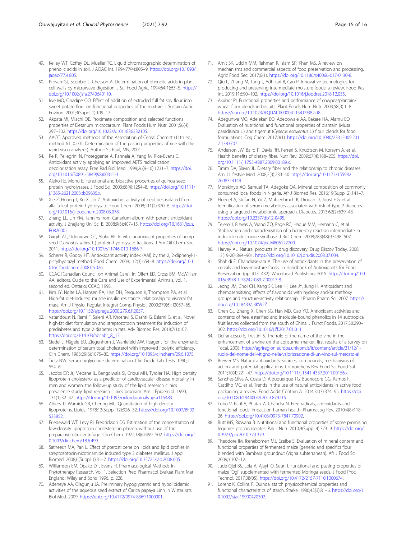- <span id="page-14-0"></span>49. Kelley WT, Coffey DL, Mueller TC. Liquid chromatographic determination of phenolic acids in soil. J AOAC Int. 1994;77(4):805–9. [https://doi.org/10.1093/](https://doi.org/10.1093/jaoac/77.4.805) [jaoac/77.4.805.](https://doi.org/10.1093/jaoac/77.4.805)
- 50. Provan GJ, Scobbie L, Chesson A. Determination of phenolic acids in plant cell walls by microwave digestion. J Sci Food Agric. 1994;64(1):63–5. [https://](https://doi.org/10.1002/jsfa.2740640110) [doi.org/10.1002/jsfa.2740640110.](https://doi.org/10.1002/jsfa.2740640110)
- 51. Iwe MO, Onadipe OO. Effect of addition of extruded full fat soy flour into sweet potato flour on functional properties of the mixture. J Sustain Agric Environ. 2001;3(Suppl 1):109–17.
- 52. Akpata MI, Miachi OE. Proximate composition and selected functional properties of Detarium microcarpum. Plant Foods Hum Nutr. 2001;56(4): 297–302. [https://doi.org/10.1023/A:1011836332105.](https://doi.org/10.1023/A:1011836332105)
- 53. AACC. Approved methods of the Association of Cereal Chemist (11th ed., method 61–02.01. Determination of the pasting properties of rice with the rapid visco analyzer). Author: St. Paul, MN; 2001.
- 54. Re R, Pellegrini N, Proteggente A, Pannala A, Yang M, Rice-Evans C. Antioxidant activity applying an improved ABTS radical cation decolorization assay. Free Rad Biol Med. 1999;26(9-10):1231–7. [https://doi.](https://doi.org/10.1016/S0891-5849(98)00315-3) [org/10.1016/S0891-5849\(98\)00315-3.](https://doi.org/10.1016/S0891-5849(98)00315-3)
- 55. Aluko RE, Monu E. Functional and bioactive properties of quinoa seed protein hydrolysates. J Food Sci. 2003;68(4):1254–8. [https://doi.org/10.1111/](https://doi.org/10.1111/j.1365-2621.2003.tb09635.x) [j.1365-2621.2003.tb09635.x](https://doi.org/10.1111/j.1365-2621.2003.tb09635.x).
- 56. Xie Z, Huang J, Xu X, Jin Z. Antioxidant activity of peptides isolated from alfalfa leaf protein hydrolysate. Food Chem. 2008;111(2):370–6. [https://doi.](https://doi.org/10.1016/j.foodchem.2008.03.078) [org/10.1016/j.foodchem.2008.03.078](https://doi.org/10.1016/j.foodchem.2008.03.078).
- 57. Zhang LL, Lin YM. Tannins from Canarium album with potent antioxidant activity. J Zhejiang Uni Sci B. 2008;9(5):407–15. [https://doi.org/10.1631/jzus.](https://doi.org/10.1631/jzus.B0820002) [B0820002](https://doi.org/10.1631/jzus.B0820002).
- 58. Girgih AT, Udenigwe CC, Aluko RE. In vitro antioxidant properties of hemp seed (Cannabis sativa L.) protein hydrolysate fractions. J Am Oil Chem Soc. 2011. <https://doi.org/10.1007/s11746-010-1686-7>.
- 59. Scherer R, Godoy HT. Antioxidant activity index (AAI) by the 2, 2-diphenyl-1 picrylhydrazyl method. Food Chem. 2009;112(3):654–8. [https://doi.org/10.1](https://doi.org/10.1016/j.foodchem.2008.06.026) [016/j.foodchem.2008.06.026.](https://doi.org/10.1016/j.foodchem.2008.06.026)
- 60. CCAC [Canadian Council on Animal Care]. In: Olfert ED, Cross BM, McWilliam AA, editors. Guide to the Care and Use of Experimental Animals, vol. 1. second ed. Ontario: CCAC; 1993.
- 61. Kim JY, Nolte LA, Hansen PA, Han DH, Ferguson K, Thompson PA, et al. High-fat diet-induced muscle insulin resistance: relationship to visceral fat mass. Am J Physiol Regulat Integrat Comp Physiol. 2000;279(6):R2057–65. [https://doi.org/10.1152/ajpregu.2000.279.6.R2057.](https://doi.org/10.1152/ajpregu.2000.279.6.R2057)
- 62. Vatandoust N, Rami F, Salehi AR, Khosravi S, Dashti G, Eslami G, et al. Novel high-fat diet formulation and streptozotocin treatment for induction of prediabetes and type 2 diabetes in rats. Adv Biomed Res. 2018;7(1):107. [https://doi.org/10.4103/abr.abr\\_8\\_17.](https://doi.org/10.4103/abr.abr_8_17)
- 63. Siedel J, Hägele EO, Ziegenhorn J, Wahlefeld AW. Reagent for the enzymatic determination of serum total cholesterol with improved lipolytic efficiency. Clin Chem. 1983;29(6):1075–80. <https://doi.org/10.1093/clinchem/29.6.1075>.
- 64. Tietz NW. Serum triglyceride determination. Clin Guide Lab Tests. 1990;2: 554–6.
- 65. Jacobs DR Jr, Mebane IL, Bangdiwala SI, Criqui MH, Tyroler HA. High density lipoprotein cholesterol as a predictor of cardiovascular disease mortality in men and women: the follow-up study of the lipid research clinics prevalence study: lipid research clinics program. Am J Epidemiol. 1990; 131(1):32–47. [https://doi.org/10.1093/oxfordjournals.aje.a115483.](https://doi.org/10.1093/oxfordjournals.aje.a115483)
- 66. Albers JJ, Warnick GR, Chenng MC. Quantitation of high density lipoproteins. Lipids. 1978;13(Suppl 12):926–32. [https://doi.org/10.1007/BF02](https://doi.org/10.1007/BF02533852) [533852](https://doi.org/10.1007/BF02533852).
- 67. Friedewald WT, Levy RI, Fredrickson DS. Estimation of the concentration of low-density lipoprotein cholesterol in plasma, without use of the preparative ultracentrifuge. Clin Chem. 1972;18(6):499–502. [https://doi.org/1](https://doi.org/10.1093/clinchem/18.6.499) [0.1093/clinchem/18.6.499.](https://doi.org/10.1093/clinchem/18.6.499)
- 68. Satheesh MA, Pari L. Effect of pterostilbene on lipids and lipid profiles in streptozotocin-nicotinamide induced type 2 diabetes mellitus. J Appl Biomed. 2008;6(Suppl 1):31–7. <https://doi.org/10.32725/jab.2008.005>.
- 69. Williamson EM, Opako DT, Evans FI. Pharmacological Methods in Phytotherapy Research. Vol. 1, Selection Prep Pharmacol Evaluat Plant Mat. England: Wiley and Sons; 1996. p. 228.
- 70. Adeneye AA, Olagunju JA. Preliminary hypoglycemic and hypolipidemic activities of the aqueous seed extract of Carica papaya Linn in Wistar rats. Biol Med. 2009. [https://doi.org/10.4172/0974-8369.1000001.](https://doi.org/10.4172/0974-8369.1000001)
- 71. Amit SK, Uddin MM, Rahman R, Islam SR, Khan MS. A review on mechanisms and commercial aspects of food preservation and processing. Agric Food Sec. 2017;6(1). [https://doi.org/10.1186/s40066-017-0130-8.](https://doi.org/10.1186/s40066-017-0130-8)
- 72. Qiu L, Zhang M, Tang J, Adhikari B, Cao P. Innovative technologies for producing and preserving intermediate moisture foods: a review. Food Res Int. 2019;116:90–102. <https://doi.org/10.1016/j.foodres.2018.12.055>.
- 73. Akubor PI. Functional properties and performance of cowpea/plantain/ wheat flour blends in biscuits. Plant Foods Hum Nutr. 2003;58(3):1–8. <https://doi.org/10.1023/B:QUAL.0000041154.09382.d8>.
- 74. Adegunwa MO, Adelekan EO, Adebowale AA, Bakare HA, Alamu EO. Evaluation of nutritional and functional properties of plantain (Musa paradisiaca L.) and tigernut (Cyperus esculentus L.) flour blends for food formulations. Cog Chem. 2017;3(1). [https://doi.org/10.1080/23312009.201](https://doi.org/10.1080/23312009.2017.1383707) [7.1383707](https://doi.org/10.1080/23312009.2017.1383707).
- 75. Anderson JW, Baird P, Davis RH, Ferreri S, Knudtson M, Koraym A, et al. Health benefits of dietary fiber. Nutr Rev. 2009;67(4):188–205. [https://doi.](https://doi.org/10.1111/j.1753-4887.2009.00189.x) [org/10.1111/j.1753-4887.2009.00189.x](https://doi.org/10.1111/j.1753-4887.2009.00189.x).
- 76. Timm DA, Slavin JL. Dietary fiber and the relationship to chronic diseases. Am J Lifestyle Med. 2008;2(3):233–40. [https://doi.org/10.1177/155982](https://doi.org/10.1177/1559827608314149) [7608314149.](https://doi.org/10.1177/1559827608314149)
- 77. Morakinyo AO, Samuel TA, Adegoke OA. Mineral composition of commonly consumed local foods in Nigeria. Afr J Biomed Res. 2016;19(Suppl 2):141–7.
- 78. Floegel A, Stefan N, Yu Z, Mühlenbruch K, Drogan D, Joost HG, et al. Identification of serum metabolites associated with risk of type 2 diabetes using a targeted metabolomic approach. Diabetes. 2013;62(2):639–48. <https://doi.org/10.2337/db12-0495>.
- 79. Tejero J, Biswas A, Wang ZQ, Page RC, Haque MM, Hemann C, et al. Stabilization and characterization of a heme-oxy reaction intermediate in inducible nitric-oxide synthase. J Biol Chem. 2008;283(48):33498–507. [https://doi.org/10.1074/jbc.M806122200.](https://doi.org/10.1074/jbc.M806122200)
- 80. Harvey AL. Natural products in drug discovery. Drug Discov Today. 2008; 13(19-20):894–901. <https://doi.org/10.1016/j.drudis.2008.07.004>.
- 81. Shahidi F, Chandrasekara A. The use of antioxidants in the preservation of cereals and low-moisture foods. In Handbook of Antioxidants for Food Preservation (pp. 413–432): Woodhead Publishing; 2015. [https://doi.org/10.1](https://doi.org/10.1016/B978-1-78242-089-7.00017-8) [016/B978-1-78242-089-7.00017-8](https://doi.org/10.1016/B978-1-78242-089-7.00017-8).
- 82. Jeong JM, Choi CH, Kang SK, Lee IH, Lee JY, Jung H. Antioxidant and chemosensitizing effects of flavonoids with hydroxy and/or methoxy groups and structure-activity relationship. J Pharm Pharm Sci. 2007. [https://](https://doi.org/10.18433/J3KW2Z) [doi.org/10.18433/J3KW2Z](https://doi.org/10.18433/J3KW2Z).
- 83. Chen GL, Zhang X, Chen SG, Han MD, Gao YQ. Antioxidant activities and contents of free, esterified and insoluble-bound phenolics in 14 subtropical fruit leaves collected from the south of China. J Funct Foods. 2017;30:290– 302. [https://doi.org/10.1016/j.jff.2017.01.011.](https://doi.org/10.1016/j.jff.2017.01.011)
- 84. Defrancesco E, Trestini S. The role of the name of the vine in the enhancement of a wine on the consumer market: first results of a survey on Tocai. 2008; [https://agriregionieuropa.univpm.it/it/content/article/31/12/il](https://agriregionieuropa.univpm.it/it/content/article/31/12/il-ruolo-del-nome-del-vitigno-nella-valorizzazione-di-un-vino-sul-mercato-al)[ruolo-del-nome-del-vitigno-nella-valorizzazione-di-un-vino-sul-mercato-al](https://agriregionieuropa.univpm.it/it/content/article/31/12/il-ruolo-del-nome-del-vitigno-nella-valorizzazione-di-un-vino-sul-mercato-al)
- 85. Brewer MS. Natural antioxidants: sources, compounds, mechanisms of action, and potential applications. Comprehens Rev Food Sci Food Saf. 2011;10(4):221–47. <https://doi.org/10.1111/j.1541-4337.2011.00156.x>.
- 86. Sanches-Silva A, Costa D, Albuquerque TG, Buonocore GG, Ramos F, Castilho MC, et al. Trends in the use of natural antioxidants in active food packaging: a review. Food Addit Contam A. 2014;31(3):374–95. [https://doi.](https://doi.org/10.1080/19440049.2013.879215) [org/10.1080/19440049.2013.879215.](https://doi.org/10.1080/19440049.2013.879215)
- 87. Lobo V, Patil A, Phatak A, Chandra N. Free radicals, antioxidants and functional foods: impact on human health. Pharmacog Rev. 2010;4(8):118– 26. [https://doi.org/10.4103/0973-7847.70902.](https://doi.org/10.4103/0973-7847.70902)
- 88. Butt MS, Rizwana B. Nutritional and functional properties of some promising legumes protein isolates. Pak J Nutr. 2010;9(Suppl 4):373–9. [https://doi.org/1](https://doi.org/10.3923/pjn.2010.373.379) [0.3923/pjn.2010.373.379](https://doi.org/10.3923/pjn.2010.373.379).
- 89. Theodore IM, Ikenebomeh MJ, Ezeibe S. Evaluation of mineral content and functional properties of fermented maize (generic and specific) flour blended with Bambara groundnut (Vigna subterranean). Afr J Food Sci. 2009;3:107–12.
- 90. Jude-Ojei BS, Lola A, Ajayi IO, Seun I. Functional and pasting properties of maize 'Ogi' supplemented with fermented Moringa seeds. J Food Proc Technol. 2017;08(05). [https://doi.org/10.4172/2157-7110.1000674.](https://doi.org/10.4172/2157-7110.1000674)
- 91. Lorenz K, Collins F. Quinoa, starch physicochemical properties and functional characteristics of starch. Starke. 1980;42(3):81–6. [https://doi.org/1](https://doi.org/10.1002/star.19900420302) [0.1002/star.19900420302](https://doi.org/10.1002/star.19900420302).